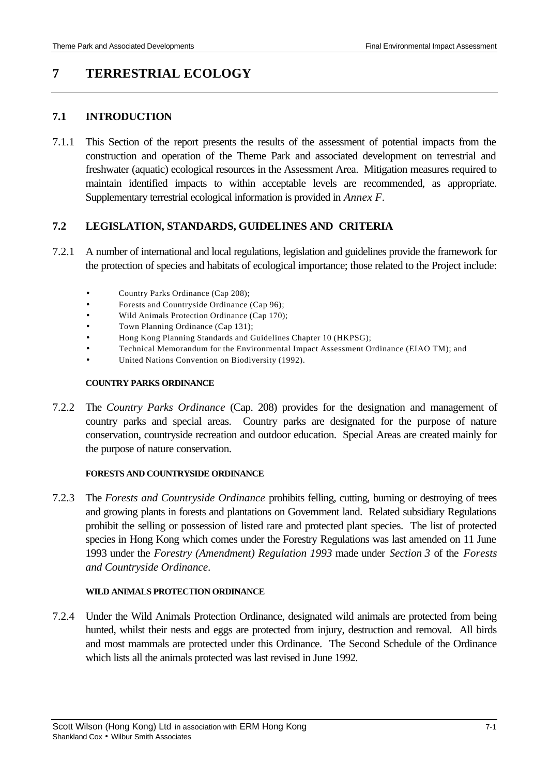# **7 TERRESTRIAL ECOLOGY**

### **7.1 INTRODUCTION**

7.1.1 This Section of the report presents the results of the assessment of potential impacts from the construction and operation of the Theme Park and associated development on terrestrial and freshwater (aquatic) ecological resources in the Assessment Area. Mitigation measures required to maintain identified impacts to within acceptable levels are recommended, as appropriate. Supplementary terrestrial ecological information is provided in *Annex F*.

### **7.2 LEGISLATION, STANDARDS, GUIDELINES AND CRITERIA**

- 7.2.1 A number of international and local regulations, legislation and guidelines provide the framework for the protection of species and habitats of ecological importance; those related to the Project include:
	- Country Parks Ordinance (Cap 208);
	- Forests and Countryside Ordinance (Cap 96);
	- Wild Animals Protection Ordinance (Cap 170);
	- Town Planning Ordinance (Cap 131);
	- Hong Kong Planning Standards and Guidelines Chapter 10 (HKPSG);
	- Technical Memorandum for the Environmental Impact Assessment Ordinance (EIAO TM); and
	- United Nations Convention on Biodiversity (1992).

#### **COUNTRY PARKS ORDINANCE**

7.2.2 The *Country Parks Ordinance* (Cap. 208) provides for the designation and management of country parks and special areas. Country parks are designated for the purpose of nature conservation, countryside recreation and outdoor education. Special Areas are created mainly for the purpose of nature conservation.

#### **FORESTS AND COUNTRYSIDE ORDINANCE**

7.2.3 The *Forests and Countryside Ordinance* prohibits felling, cutting, burning or destroying of trees and growing plants in forests and plantations on Government land. Related subsidiary Regulations prohibit the selling or possession of listed rare and protected plant species. The list of protected species in Hong Kong which comes under the Forestry Regulations was last amended on 11 June 1993 under the *Forestry (Amendment) Regulation 1993* made under *Section 3* of the *Forests and Countryside Ordinance*.

#### **WILD ANIMALS PROTECTION ORDINANCE**

7.2.4 Under the Wild Animals Protection Ordinance, designated wild animals are protected from being hunted, whilst their nests and eggs are protected from injury, destruction and removal. All birds and most mammals are protected under this Ordinance. The Second Schedule of the Ordinance which lists all the animals protected was last revised in June 1992.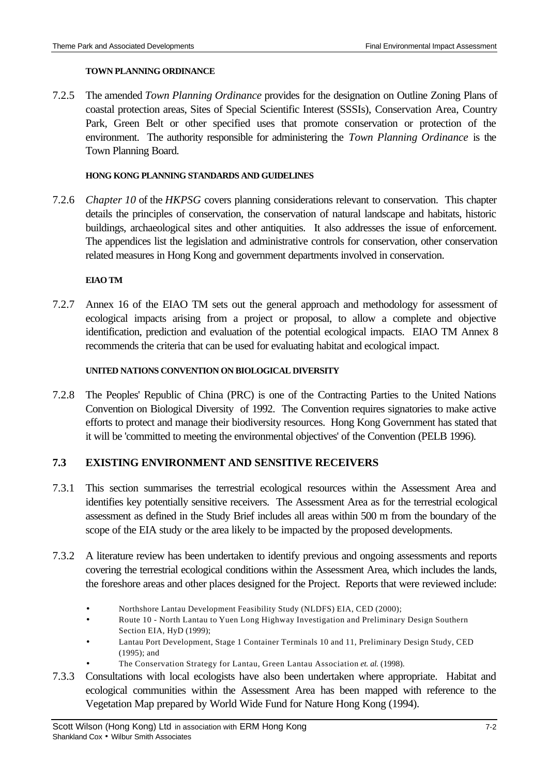#### **TOWN PLANNING ORDINANCE**

7.2.5 The amended *Town Planning Ordinance* provides for the designation on Outline Zoning Plans of coastal protection areas, Sites of Special Scientific Interest (SSSIs), Conservation Area, Country Park, Green Belt or other specified uses that promote conservation or protection of the environment. The authority responsible for administering the *Town Planning Ordinance* is the Town Planning Board.

#### **HONG KONG PLANNING STANDARDS AND GUIDELINES**

7.2.6 *Chapter 10* of the *HKPSG* covers planning considerations relevant to conservation. This chapter details the principles of conservation, the conservation of natural landscape and habitats, historic buildings, archaeological sites and other antiquities. It also addresses the issue of enforcement. The appendices list the legislation and administrative controls for conservation, other conservation related measures in Hong Kong and government departments involved in conservation.

#### **EIAO TM**

7.2.7 Annex 16 of the EIAO TM sets out the general approach and methodology for assessment of ecological impacts arising from a project or proposal, to allow a complete and objective identification, prediction and evaluation of the potential ecological impacts. EIAO TM Annex 8 recommends the criteria that can be used for evaluating habitat and ecological impact.

#### **UNITED NATIONS CONVENTION ON BIOLOGICAL DIVERSITY**

7.2.8 The Peoples' Republic of China (PRC) is one of the Contracting Parties to the United Nations Convention on Biological Diversity of 1992. The Convention requires signatories to make active efforts to protect and manage their biodiversity resources. Hong Kong Government has stated that it will be 'committed to meeting the environmental objectives' of the Convention (PELB 1996).

# **7.3 EXISTING ENVIRONMENT AND SENSITIVE RECEIVERS**

- 7.3.1 This section summarises the terrestrial ecological resources within the Assessment Area and identifies key potentially sensitive receivers. The Assessment Area as for the terrestrial ecological assessment as defined in the Study Brief includes all areas within 500 m from the boundary of the scope of the EIA study or the area likely to be impacted by the proposed developments.
- 7.3.2 A literature review has been undertaken to identify previous and ongoing assessments and reports covering the terrestrial ecological conditions within the Assessment Area, which includes the lands, the foreshore areas and other places designed for the Project. Reports that were reviewed include:
	- Northshore Lantau Development Feasibility Study (NLDFS) EIA, CED (2000);
	- Route 10 North Lantau to Yuen Long Highway Investigation and Preliminary Design Southern Section EIA, HyD (1999);
	- Lantau Port Development, Stage 1 Container Terminals 10 and 11, Preliminary Design Study, CED (1995); and
		- The Conservation Strategy for Lantau, Green Lantau Association *et. al.* (1998).
- 7.3.3 Consultations with local ecologists have also been undertaken where appropriate. Habitat and ecological communities within the Assessment Area has been mapped with reference to the Vegetation Map prepared by World Wide Fund for Nature Hong Kong (1994).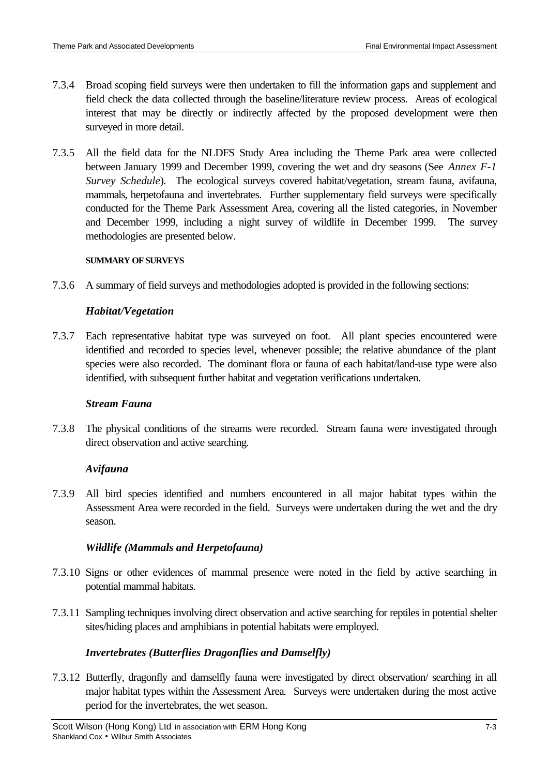- 7.3.4 Broad scoping field surveys were then undertaken to fill the information gaps and supplement and field check the data collected through the baseline/literature review process. Areas of ecological interest that may be directly or indirectly affected by the proposed development were then surveyed in more detail.
- 7.3.5 All the field data for the NLDFS Study Area including the Theme Park area were collected between January 1999 and December 1999, covering the wet and dry seasons (See *Annex F-1 Survey Schedule*). The ecological surveys covered habitat/vegetation, stream fauna, avifauna, mammals, herpetofauna and invertebrates. Further supplementary field surveys were specifically conducted for the Theme Park Assessment Area, covering all the listed categories, in November and December 1999, including a night survey of wildlife in December 1999. The survey methodologies are presented below.

#### **SUMMARY OF SURVEYS**

7.3.6 A summary of field surveys and methodologies adopted is provided in the following sections:

### *Habitat/Vegetation*

7.3.7 Each representative habitat type was surveyed on foot. All plant species encountered were identified and recorded to species level, whenever possible; the relative abundance of the plant species were also recorded. The dominant flora or fauna of each habitat/land-use type were also identified, with subsequent further habitat and vegetation verifications undertaken.

### *Stream Fauna*

7.3.8 The physical conditions of the streams were recorded. Stream fauna were investigated through direct observation and active searching.

### *Avifauna*

7.3.9 All bird species identified and numbers encountered in all major habitat types within the Assessment Area were recorded in the field. Surveys were undertaken during the wet and the dry season.

# *Wildlife (Mammals and Herpetofauna)*

- 7.3.10 Signs or other evidences of mammal presence were noted in the field by active searching in potential mammal habitats.
- 7.3.11 Sampling techniques involving direct observation and active searching for reptiles in potential shelter sites/hiding places and amphibians in potential habitats were employed.

### *Invertebrates (Butterflies Dragonflies and Damselfly)*

7.3.12 Butterfly, dragonfly and damselfly fauna were investigated by direct observation/ searching in all major habitat types within the Assessment Area*.* Surveys were undertaken during the most active period for the invertebrates, the wet season.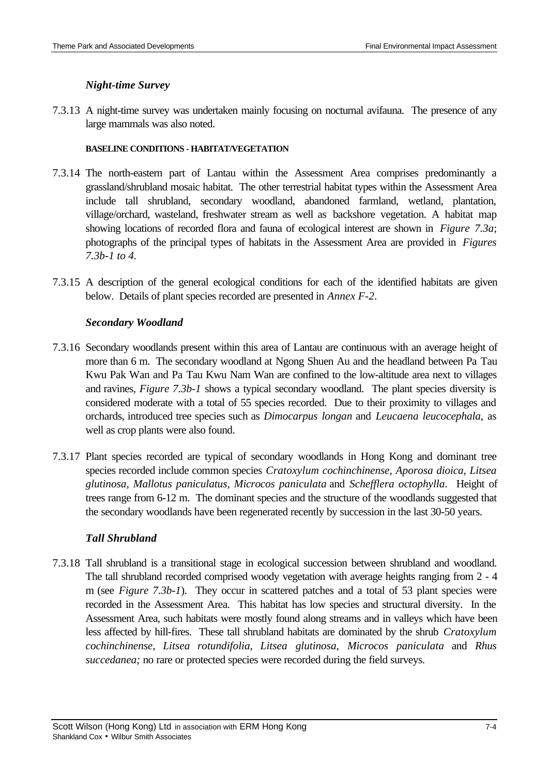# *Night-time Survey*

7.3.13 A night-time survey was undertaken mainly focusing on nocturnal avifauna. The presence of any large mammals was also noted.

### **BASELINE CONDITIONS - HABITAT/VEGETATION**

- 7.3.14 The north-eastern part of Lantau within the Assessment Area comprises predominantly a grassland/shrubland mosaic habitat. The other terrestrial habitat types within the Assessment Area include tall shrubland, secondary woodland, abandoned farmland, wetland, plantation, village/orchard, wasteland, freshwater stream as well as backshore vegetation. A habitat map showing locations of recorded flora and fauna of ecological interest are shown in *Figure 7.3a*; photographs of the principal types of habitats in the Assessment Area are provided in *Figures 7.3b-1 to 4.*
- 7.3.15 A description of the general ecological conditions for each of the identified habitats are given below. Details of plant species recorded are presented in *Annex F-2*.

# *Secondary Woodland*

- 7.3.16 Secondary woodlands present within this area of Lantau are continuous with an average height of more than 6 m. The secondary woodland at Ngong Shuen Au and the headland between Pa Tau Kwu Pak Wan and Pa Tau Kwu Nam Wan are confined to the low-altitude area next to villages and ravines, *Figure 7.3b-1* shows a typical secondary woodland. The plant species diversity is considered moderate with a total of 55 species recorded. Due to their proximity to villages and orchards, introduced tree species such as *Dimocarpus longan* and *Leucaena leucocephala*, as well as crop plants were also found.
- 7.3.17 Plant species recorded are typical of secondary woodlands in Hong Kong and dominant tree species recorded include common species *Cratoxylum cochinchinense*, *Aporosa dioica*, *Litsea glutinosa*, *Mallotus paniculatus*, *Microcos paniculata* and *Schefflera octophylla*. Height of trees range from 6-12 m. The dominant species and the structure of the woodlands suggested that the secondary woodlands have been regenerated recently by succession in the last 30-50 years.

# *Tall Shrubland*

7.3.18 Tall shrubland is a transitional stage in ecological succession between shrubland and woodland. The tall shrubland recorded comprised woody vegetation with average heights ranging from 2 - 4 m (see *Figure 7.3b-1*). They occur in scattered patches and a total of 53 plant species were recorded in the Assessment Area. This habitat has low species and structural diversity. In the Assessment Area, such habitats were mostly found along streams and in valleys which have been less affected by hill-fires. These tall shrubland habitats are dominated by the shrub *Cratoxylum cochinchinense*, *Litsea rotundifolia*, *Litsea glutinosa*, *Microcos paniculata* and *Rhus succedanea;* no rare or protected species were recorded during the field surveys.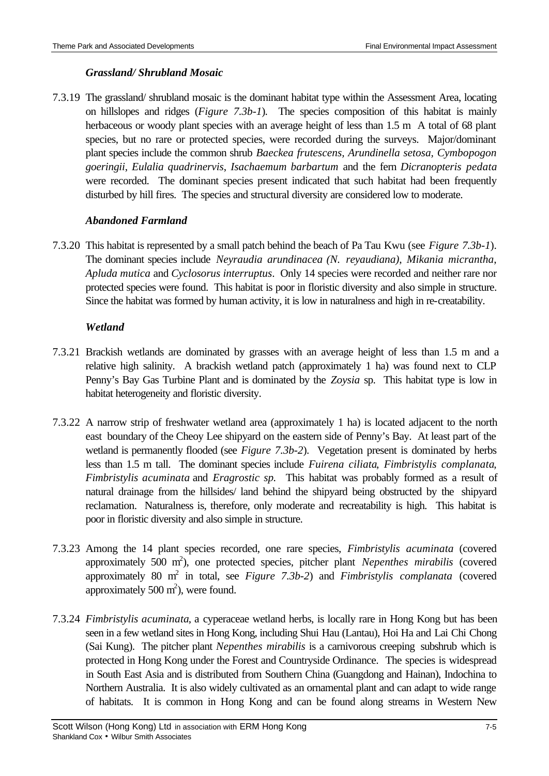# *Grassland/ Shrubland Mosaic*

7.3.19 The grassland/ shrubland mosaic is the dominant habitat type within the Assessment Area, locating on hillslopes and ridges (*Figure 7.3b-1*). The species composition of this habitat is mainly herbaceous or woody plant species with an average height of less than 1.5 m A total of 68 plant species, but no rare or protected species, were recorded during the surveys. Major/dominant plant species include the common shrub *Baeckea frutescens, Arundinella setosa, Cymbopogon goeringii*, *Eulalia quadrinervis*, *Isachaemum barbartum* and the fern *Dicranopteris pedata* were recorded. The dominant species present indicated that such habitat had been frequently disturbed by hill fires. The species and structural diversity are considered low to moderate.

# *Abandoned Farmland*

7.3.20 This habitat is represented by a small patch behind the beach of Pa Tau Kwu (see *Figure 7.3b-1*). The dominant species include *Neyraudia arundinacea (N. reyaudiana)*, *Mikania micrantha*, *Apluda mutica* and *Cyclosorus interruptus*. Only 14 species were recorded and neither rare nor protected species were found. This habitat is poor in floristic diversity and also simple in structure. Since the habitat was formed by human activity, it is low in naturalness and high in re-creatability.

# *Wetland*

- 7.3.21 Brackish wetlands are dominated by grasses with an average height of less than 1.5 m and a relative high salinity. A brackish wetland patch (approximately 1 ha) was found next to CLP Penny's Bay Gas Turbine Plant and is dominated by the *Zoysia* sp. This habitat type is low in habitat heterogeneity and floristic diversity.
- 7.3.22 A narrow strip of freshwater wetland area (approximately 1 ha) is located adjacent to the north east boundary of the Cheoy Lee shipyard on the eastern side of Penny's Bay. At least part of the wetland is permanently flooded (see *Figure 7.3b-2*). Vegetation present is dominated by herbs less than 1.5 m tall. The dominant species include *Fuirena ciliata*, *Fimbristylis complanata*, *Fimbristylis acuminata* and *Eragrostic sp.* This habitat was probably formed as a result of natural drainage from the hillsides/ land behind the shipyard being obstructed by the shipyard reclamation. Naturalness is, therefore, only moderate and recreatability is high. This habitat is poor in floristic diversity and also simple in structure.
- 7.3.23 Among the 14 plant species recorded, one rare species, *Fimbristylis acuminata* (covered approximately 500 m 2 ), one protected species, pitcher plant *Nepenthes mirabilis* (covered approximately 80 m 2 in total, see *Figure 7.3b-2*) and *Fimbristylis complanata* (covered approximately 500  $m^2$ ), were found.
- 7.3.24 *Fimbristylis acuminata*, a cyperaceae wetland herbs, is locally rare in Hong Kong but has been seen in a few wetland sites in Hong Kong, including Shui Hau (Lantau), Hoi Ha and Lai Chi Chong (Sai Kung). The pitcher plant *Nepenthes mirabilis* is a carnivorous creeping subshrub which is protected in Hong Kong under the Forest and Countryside Ordinance. The species is widespread in South East Asia and is distributed from Southern China (Guangdong and Hainan), Indochina to Northern Australia. It is also widely cultivated as an ornamental plant and can adapt to wide range of habitats. It is common in Hong Kong and can be found along streams in Western New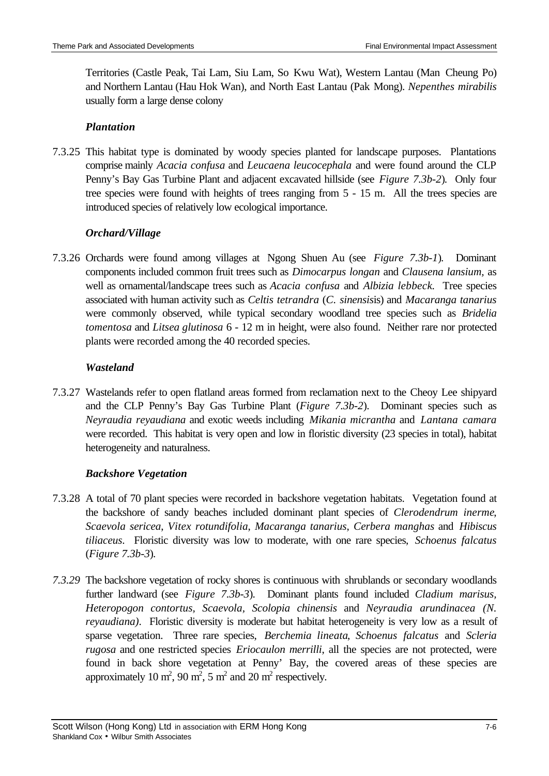Territories (Castle Peak, Tai Lam, Siu Lam, So Kwu Wat), Western Lantau (Man Cheung Po) and Northern Lantau (Hau Hok Wan), and North East Lantau (Pak Mong). *Nepenthes mirabilis* usually form a large dense colony

# *Plantation*

7.3.25 This habitat type is dominated by woody species planted for landscape purposes. Plantations comprise mainly *Acacia confusa* and *Leucaena leucocephala* and were found around the CLP Penny's Bay Gas Turbine Plant and adjacent excavated hillside (see *Figure 7.3b-2*). Only four tree species were found with heights of trees ranging from 5 - 15 m. All the trees species are introduced species of relatively low ecological importance.

# *Orchard/Village*

7.3.26 Orchards were found among villages at Ngong Shuen Au (see *Figure 7.3b-1*). Dominant components included common fruit trees such as *Dimocarpus longan* and *Clausena lansium,* as well as ornamental/landscape trees such as *Acacia confusa* and *Albizia lebbeck.* Tree species associated with human activity such as *Celtis tetrandra* (*C. sinensis*is) and *Macaranga tanarius* were commonly observed, while typical secondary woodland tree species such as *Bridelia tomentosa* and *Litsea glutinosa* 6 - 12 m in height, were also found. Neither rare nor protected plants were recorded among the 40 recorded species.

# *Wasteland*

7.3.27 Wastelands refer to open flatland areas formed from reclamation next to the Cheoy Lee shipyard and the CLP Penny's Bay Gas Turbine Plant (*Figure 7.3b-2*). Dominant species such as *Neyraudia reyaudiana* and exotic weeds including *Mikania micrantha* and *Lantana camara* were recorded. This habitat is very open and low in floristic diversity (23 species in total), habitat heterogeneity and naturalness.

# *Backshore Vegetation*

- 7.3.28 A total of 70 plant species were recorded in backshore vegetation habitats. Vegetation found at the backshore of sandy beaches included dominant plant species of *Clerodendrum inerme*, *Scaevola sericea*, *Vitex rotundifolia*, *Macaranga tanarius*, *Cerbera manghas* and *Hibiscus tiliaceus*. Floristic diversity was low to moderate, with one rare species, *Schoenus falcatus* (*Figure 7.3b-3*)*.*
- *7.3.29* The backshore vegetation of rocky shores is continuous with shrublands or secondary woodlands further landward (see *Figure 7.3b-3*). Dominant plants found included *Cladium marisus, Heteropogon contortus, Scaevola, Scolopia chinensis* and *Neyraudia arundinacea (N. reyaudiana)*. Floristic diversity is moderate but habitat heterogeneity is very low as a result of sparse vegetation. Three rare species, *Berchemia lineata*, *Schoenus falcatus* and *Scleria rugosa* and one restricted species *Eriocaulon merrilli*, all the species are not protected, were found in back shore vegetation at Penny' Bay, the covered areas of these species are approximately 10  $m^2$ , 90  $m^2$ , 5  $m^2$  and 20  $m^2$  respectively.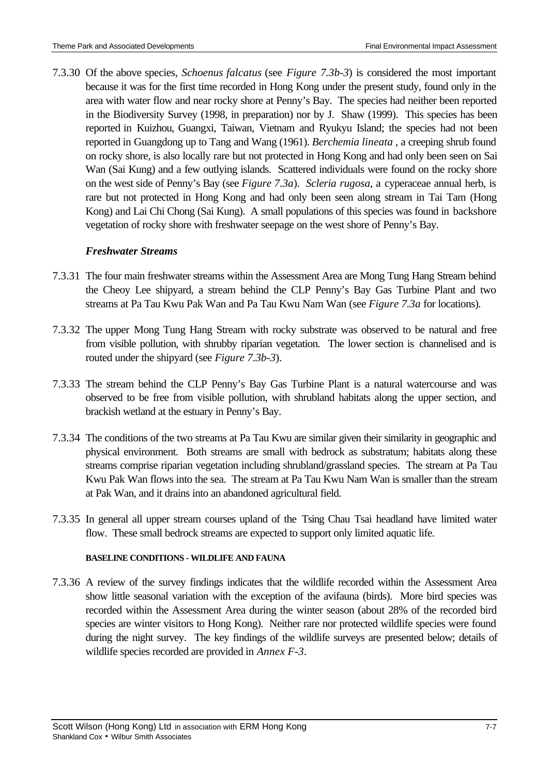7.3.30 Of the above species, *Schoenus falcatus* (see *Figure 7.3b-3*) is considered the most important because it was for the first time recorded in Hong Kong under the present study, found only in the area with water flow and near rocky shore at Penny's Bay. The species had neither been reported in the Biodiversity Survey (1998, in preparation) nor by J. Shaw (1999). This species has been reported in Kuizhou, Guangxi, Taiwan, Vietnam and Ryukyu Island; the species had not been reported in Guangdong up to Tang and Wang (1961). *Berchemia lineata* , a creeping shrub found on rocky shore, is also locally rare but not protected in Hong Kong and had only been seen on Sai Wan (Sai Kung) and a few outlying islands. Scattered individuals were found on the rocky shore on the west side of Penny's Bay (see *Figure 7.3a*). *Scleria rugosa*, a cyperaceae annual herb, is rare but not protected in Hong Kong and had only been seen along stream in Tai Tam (Hong Kong) and Lai Chi Chong (Sai Kung). A small populations of this species was found in backshore vegetation of rocky shore with freshwater seepage on the west shore of Penny's Bay.

# *Freshwater Streams*

- 7.3.31 The four main freshwater streams within the Assessment Area are Mong Tung Hang Stream behind the Cheoy Lee shipyard, a stream behind the CLP Penny's Bay Gas Turbine Plant and two streams at Pa Tau Kwu Pak Wan and Pa Tau Kwu Nam Wan (see *Figure 7.3a* for locations).
- 7.3.32 The upper Mong Tung Hang Stream with rocky substrate was observed to be natural and free from visible pollution, with shrubby riparian vegetation. The lower section is channelised and is routed under the shipyard (see *Figure 7.3b-3*).
- 7.3.33 The stream behind the CLP Penny's Bay Gas Turbine Plant is a natural watercourse and was observed to be free from visible pollution, with shrubland habitats along the upper section, and brackish wetland at the estuary in Penny's Bay.
- 7.3.34 The conditions of the two streams at Pa Tau Kwu are similar given their similarity in geographic and physical environment. Both streams are small with bedrock as substratum; habitats along these streams comprise riparian vegetation including shrubland/grassland species. The stream at Pa Tau Kwu Pak Wan flows into the sea. The stream at Pa Tau Kwu Nam Wan is smaller than the stream at Pak Wan, and it drains into an abandoned agricultural field.
- 7.3.35 In general all upper stream courses upland of the Tsing Chau Tsai headland have limited water flow. These small bedrock streams are expected to support only limited aquatic life.

### **BASELINE CONDITIONS - WILDLIFE AND FAUNA**

7.3.36 A review of the survey findings indicates that the wildlife recorded within the Assessment Area show little seasonal variation with the exception of the avifauna (birds). More bird species was recorded within the Assessment Area during the winter season (about 28% of the recorded bird species are winter visitors to Hong Kong). Neither rare nor protected wildlife species were found during the night survey. The key findings of the wildlife surveys are presented below; details of wildlife species recorded are provided in *Annex F-3*.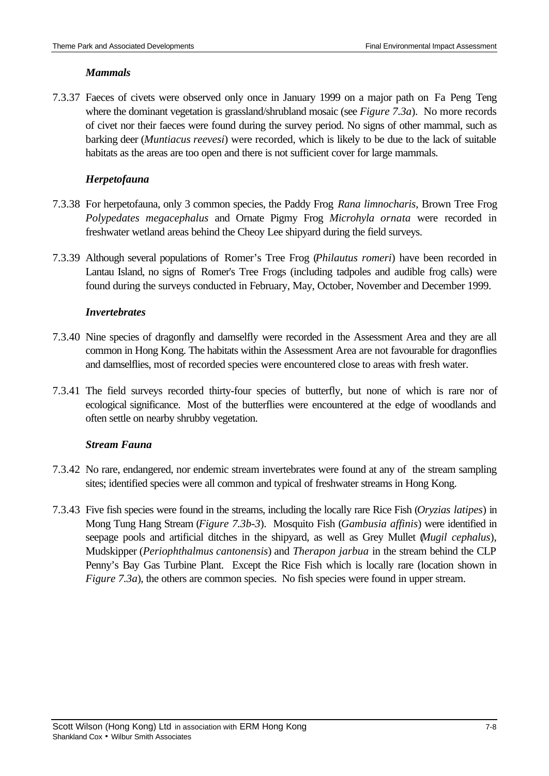# *Mammals*

7.3.37 Faeces of civets were observed only once in January 1999 on a major path on Fa Peng Teng where the dominant vegetation is grassland/shrubland mosaic (see *Figure 7.3a*). No more records of civet nor their faeces were found during the survey period. No signs of other mammal, such as barking deer (*Muntiacus reevesi*) were recorded, which is likely to be due to the lack of suitable habitats as the areas are too open and there is not sufficient cover for large mammals.

# *Herpetofauna*

- 7.3.38 For herpetofauna, only 3 common species, the Paddy Frog *Rana limnocharis*, Brown Tree Frog *Polypedates megacephalus* and Ornate Pigmy Frog *Microhyla ornata* were recorded in freshwater wetland areas behind the Cheoy Lee shipyard during the field surveys.
- 7.3.39 Although several populations of Romer's Tree Frog (*Philautus romeri*) have been recorded in Lantau Island, no signs of Romer's Tree Frogs (including tadpoles and audible frog calls) were found during the surveys conducted in February, May, October, November and December 1999.

# *Invertebrates*

- 7.3.40 Nine species of dragonfly and damselfly were recorded in the Assessment Area and they are all common in Hong Kong. The habitats within the Assessment Area are not favourable for dragonflies and damselflies, most of recorded species were encountered close to areas with fresh water.
- 7.3.41 The field surveys recorded thirty-four species of butterfly, but none of which is rare nor of ecological significance. Most of the butterflies were encountered at the edge of woodlands and often settle on nearby shrubby vegetation.

# *Stream Fauna*

- 7.3.42 No rare, endangered, nor endemic stream invertebrates were found at any of the stream sampling sites; identified species were all common and typical of freshwater streams in Hong Kong.
- 7.3.43 Five fish species were found in the streams, including the locally rare Rice Fish (*Oryzias latipes*) in Mong Tung Hang Stream (*Figure 7.3b-3*). Mosquito Fish (*Gambusia affinis*) were identified in seepage pools and artificial ditches in the shipyard, as well as Grey Mullet (*Mugil cephalus*), Mudskipper (*Periophthalmus cantonensis*) and *Therapon jarbua* in the stream behind the CLP Penny's Bay Gas Turbine Plant. Except the Rice Fish which is locally rare (location shown in *Figure 7.3a*), the others are common species. No fish species were found in upper stream.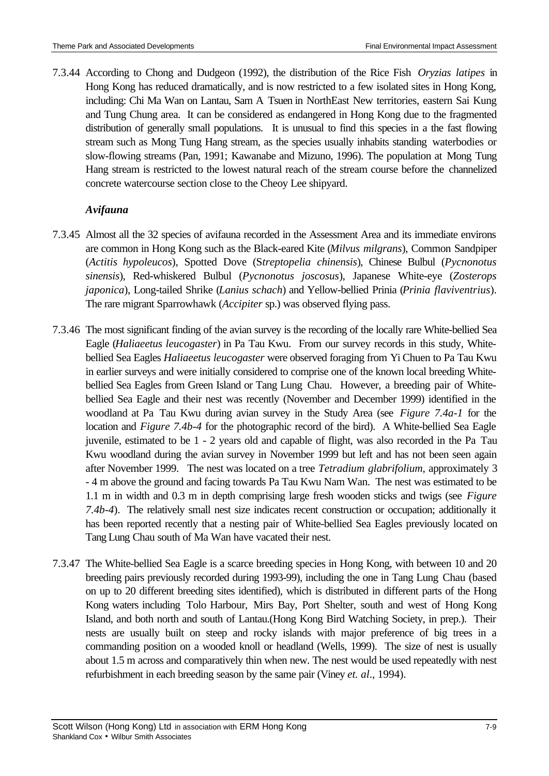7.3.44 According to Chong and Dudgeon (1992), the distribution of the Rice Fish *Oryzias latipes* in Hong Kong has reduced dramatically, and is now restricted to a few isolated sites in Hong Kong, including: Chi Ma Wan on Lantau, Sam A Tsuen in NorthEast New territories, eastern Sai Kung and Tung Chung area. It can be considered as endangered in Hong Kong due to the fragmented distribution of generally small populations. It is unusual to find this species in a the fast flowing stream such as Mong Tung Hang stream, as the species usually inhabits standing waterbodies or slow-flowing streams (Pan, 1991; Kawanabe and Mizuno, 1996). The population at Mong Tung Hang stream is restricted to the lowest natural reach of the stream course before the channelized concrete watercourse section close to the Cheoy Lee shipyard.

# *Avifauna*

- 7.3.45 Almost all the 32 species of avifauna recorded in the Assessment Area and its immediate environs are common in Hong Kong such as the Black-eared Kite (*Milvus milgrans*), Common Sandpiper (*Actitis hypoleucos*), Spotted Dove (S*treptopelia chinensis*), Chinese Bulbul (*Pycnonotus sinensis*), Red-whiskered Bulbul (*Pycnonotus joscosus*), Japanese White-eye (*Zosterops japonica*), Long-tailed Shrike (*Lanius schach*) and Yellow-bellied Prinia (*Prinia flaviventrius*). The rare migrant Sparrowhawk (*Accipiter* sp.) was observed flying pass.
- 7.3.46 The most significant finding of the avian survey is the recording of the locally rare White-bellied Sea Eagle (*Haliaeetus leucogaster*) in Pa Tau Kwu. From our survey records in this study, Whitebellied Sea Eagles *Haliaeetus leucogaster* were observed foraging from Yi Chuen to Pa Tau Kwu in earlier surveys and were initially considered to comprise one of the known local breeding Whitebellied Sea Eagles from Green Island or Tang Lung Chau. However, a breeding pair of Whitebellied Sea Eagle and their nest was recently (November and December 1999) identified in the woodland at Pa Tau Kwu during avian survey in the Study Area (see *Figure 7.4a-1* for the location and *Figure 7.4b-4* for the photographic record of the bird). A White-bellied Sea Eagle juvenile, estimated to be 1 - 2 years old and capable of flight, was also recorded in the Pa Tau Kwu woodland during the avian survey in November 1999 but left and has not been seen again after November 1999. The nest was located on a tree *Tetradium glabrifolium*, approximately 3 - 4 m above the ground and facing towards Pa Tau Kwu Nam Wan. The nest was estimated to be 1.1 m in width and 0.3 m in depth comprising large fresh wooden sticks and twigs (see *Figure 7.4b-4*). The relatively small nest size indicates recent construction or occupation; additionally it has been reported recently that a nesting pair of White-bellied Sea Eagles previously located on Tang Lung Chau south of Ma Wan have vacated their nest.
- 7.3.47 The White-bellied Sea Eagle is a scarce breeding species in Hong Kong, with between 10 and 20 breeding pairs previously recorded during 1993-99), including the one in Tang Lung Chau (based on up to 20 different breeding sites identified), which is distributed in different parts of the Hong Kong waters including Tolo Harbour, Mirs Bay, Port Shelter, south and west of Hong Kong Island, and both north and south of Lantau.(Hong Kong Bird Watching Society, in prep.). Their nests are usually built on steep and rocky islands with major preference of big trees in a commanding position on a wooded knoll or headland (Wells, 1999). The size of nest is usually about 1.5 m across and comparatively thin when new. The nest would be used repeatedly with nest refurbishment in each breeding season by the same pair (Viney *et. al*., 1994).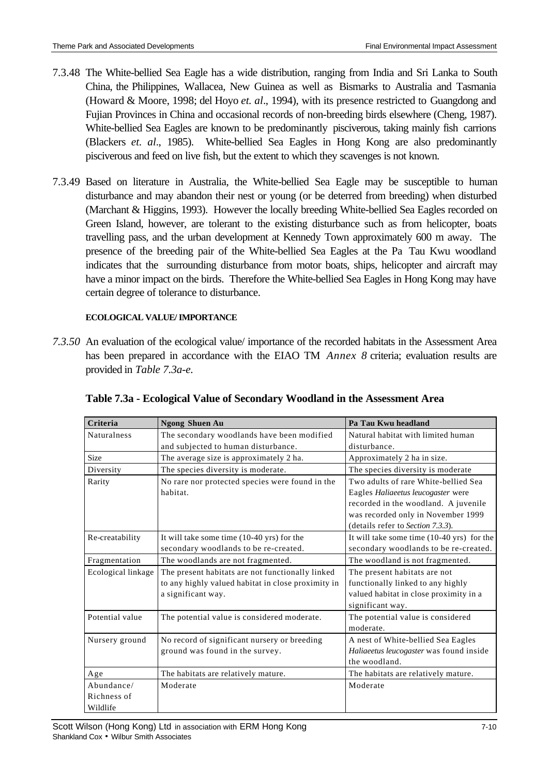- 7.3.48 The White-bellied Sea Eagle has a wide distribution, ranging from India and Sri Lanka to South China, the Philippines, Wallacea, New Guinea as well as Bismarks to Australia and Tasmania (Howard & Moore, 1998; del Hoyo *et. al*., 1994), with its presence restricted to Guangdong and Fujian Provinces in China and occasional records of non-breeding birds elsewhere (Cheng, 1987). White-bellied Sea Eagles are known to be predominantly pisciverous, taking mainly fish carrions (Blackers *et. al*., 1985). White-bellied Sea Eagles in Hong Kong are also predominantly pisciverous and feed on live fish, but the extent to which they scavenges is not known.
- 7.3.49 Based on literature in Australia, the White-bellied Sea Eagle may be susceptible to human disturbance and may abandon their nest or young (or be deterred from breeding) when disturbed (Marchant & Higgins, 1993). However the locally breeding White-bellied Sea Eagles recorded on Green Island, however, are tolerant to the existing disturbance such as from helicopter, boats travelling pass, and the urban development at Kennedy Town approximately 600 m away. The presence of the breeding pair of the White-bellied Sea Eagles at the Pa Tau Kwu woodland indicates that the surrounding disturbance from motor boats, ships, helicopter and aircraft may have a minor impact on the birds. Therefore the White-bellied Sea Eagles in Hong Kong may have certain degree of tolerance to disturbance.

# **ECOLOGICAL VALUE/ IMPORTANCE**

*7.3.50* An evaluation of the ecological value/ importance of the recorded habitats in the Assessment Area has been prepared in accordance with the EIAO TM *Annex 8* criteria; evaluation results are provided in *Table 7.3a-e.*

| Criteria                              | <b>Ngong Shuen Au</b>                                                                                                        | Pa Tau Kwu headland                                                                                                                                                                           |
|---------------------------------------|------------------------------------------------------------------------------------------------------------------------------|-----------------------------------------------------------------------------------------------------------------------------------------------------------------------------------------------|
| <b>Naturalness</b>                    | The secondary woodlands have been modified<br>and subjected to human disturbance.                                            | Natural habitat with limited human<br>disturbance.                                                                                                                                            |
| <b>Size</b>                           | The average size is approximately 2 ha.                                                                                      | Approximately 2 ha in size.                                                                                                                                                                   |
| Diversity                             | The species diversity is moderate.                                                                                           | The species diversity is moderate                                                                                                                                                             |
| Rarity                                | No rare nor protected species were found in the<br>habitat.                                                                  | Two adults of rare White-bellied Sea<br>Eagles Haliaeetus leucogaster were<br>recorded in the woodland. A juvenile<br>was recorded only in November 1999<br>(details refer to Section 7.3.3). |
| Re-creatability                       | It will take some time (10-40 yrs) for the<br>secondary woodlands to be re-created.                                          | It will take some time (10-40 yrs) for the<br>secondary woodlands to be re-created.                                                                                                           |
| Fragmentation                         | The woodlands are not fragmented.                                                                                            | The woodland is not fragmented.                                                                                                                                                               |
| Ecological linkage                    | The present habitats are not functionally linked<br>to any highly valued habitat in close proximity in<br>a significant way. | The present habitats are not<br>functionally linked to any highly<br>valued habitat in close proximity in a<br>significant way.                                                               |
| Potential value                       | The potential value is considered moderate.                                                                                  | The potential value is considered<br>moderate.                                                                                                                                                |
| Nursery ground                        | No record of significant nursery or breeding<br>ground was found in the survey.                                              | A nest of White-bellied Sea Eagles<br>Haliaeetus leucogaster was found inside<br>the woodland.                                                                                                |
| Age                                   | The habitats are relatively mature.                                                                                          | The habitats are relatively mature.                                                                                                                                                           |
| Abundance/<br>Richness of<br>Wildlife | Moderate                                                                                                                     | Moderate                                                                                                                                                                                      |

|  |  | Table 7.3a - Ecological Value of Secondary Woodland in the Assessment Area |
|--|--|----------------------------------------------------------------------------|
|  |  |                                                                            |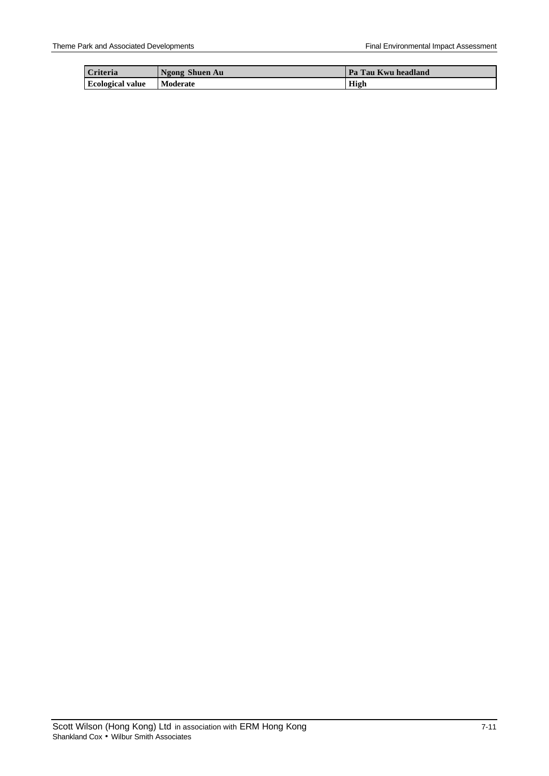| Criteria                | Ngong Shuen Au  | l Pa Tau Kwu headland |
|-------------------------|-----------------|-----------------------|
| <b>Ecological value</b> | <b>Moderate</b> | High                  |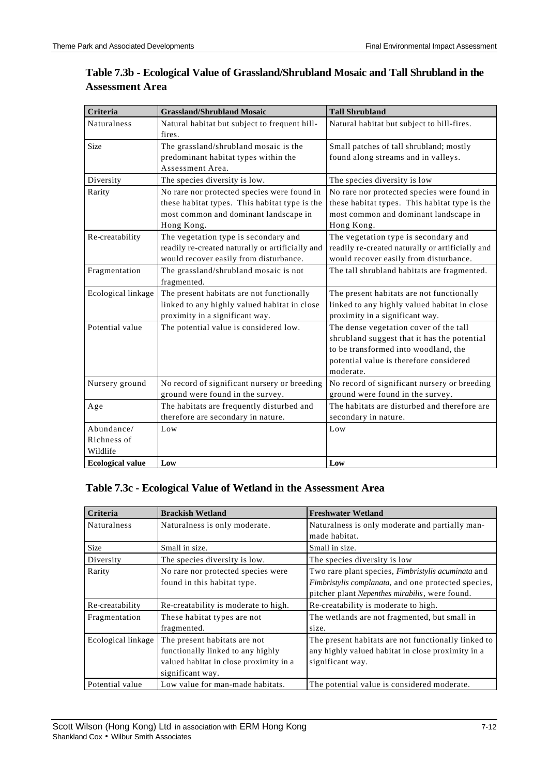| Criteria                              | <b>Grassland/Shrubland Mosaic</b>                                                                                                                   | <b>Tall Shrubland</b>                                                                                                                                                                 |  |
|---------------------------------------|-----------------------------------------------------------------------------------------------------------------------------------------------------|---------------------------------------------------------------------------------------------------------------------------------------------------------------------------------------|--|
| <b>Naturalness</b>                    | Natural habitat but subject to frequent hill-<br>fires.                                                                                             | Natural habitat but subject to hill-fires.                                                                                                                                            |  |
| Size                                  | The grassland/shrubland mosaic is the<br>predominant habitat types within the<br>Assessment Area.                                                   | Small patches of tall shrubland; mostly<br>found along streams and in valleys.                                                                                                        |  |
| Diversity                             | The species diversity is low.                                                                                                                       | The species diversity is low                                                                                                                                                          |  |
| Rarity                                | No rare nor protected species were found in<br>these habitat types. This habitat type is the<br>most common and dominant landscape in<br>Hong Kong. | No rare nor protected species were found in<br>these habitat types. This habitat type is the<br>most common and dominant landscape in<br>Hong Kong.                                   |  |
| Re-creatability                       | The vegetation type is secondary and<br>readily re-created naturally or artificially and<br>would recover easily from disturbance.                  | The vegetation type is secondary and<br>readily re-created naturally or artificially and<br>would recover easily from disturbance.                                                    |  |
| Fragmentation                         | The grassland/shrubland mosaic is not<br>fragmented.                                                                                                | The tall shrubland habitats are fragmented.                                                                                                                                           |  |
| Ecological linkage                    | The present habitats are not functionally<br>linked to any highly valued habitat in close<br>proximity in a significant way.                        | The present habitats are not functionally<br>linked to any highly valued habitat in close<br>proximity in a significant way.                                                          |  |
| Potential value                       | The potential value is considered low.                                                                                                              | The dense vegetation cover of the tall<br>shrubland suggest that it has the potential<br>to be transformed into woodland, the<br>potential value is therefore considered<br>moderate. |  |
| Nursery ground                        | No record of significant nursery or breeding<br>ground were found in the survey.                                                                    | No record of significant nursery or breeding<br>ground were found in the survey.                                                                                                      |  |
| Age                                   | The habitats are frequently disturbed and<br>therefore are secondary in nature.                                                                     | The habitats are disturbed and therefore are<br>secondary in nature.                                                                                                                  |  |
| Abundance/<br>Richness of<br>Wildlife | Low                                                                                                                                                 | Low                                                                                                                                                                                   |  |
| <b>Ecological value</b>               | Low                                                                                                                                                 | Low                                                                                                                                                                                   |  |

# **Table 7.3b - Ecological Value of Grassland/Shrubland Mosaic and Tall Shrubland in the Assessment Area**

# **Table 7.3c - Ecological Value of Wetland in the Assessment Area**

| Criteria           | <b>Brackish Wetland</b>                                           | <b>Freshwater Wetland</b>                                                                                                                                   |
|--------------------|-------------------------------------------------------------------|-------------------------------------------------------------------------------------------------------------------------------------------------------------|
| <b>Naturalness</b> | Naturalness is only moderate.                                     | Naturalness is only moderate and partially man-                                                                                                             |
|                    |                                                                   | made habitat.                                                                                                                                               |
| <b>Size</b>        | Small in size.                                                    | Small in size.                                                                                                                                              |
| Diversity          | The species diversity is low.                                     | The species diversity is low                                                                                                                                |
| Rarity             | No rare nor protected species were<br>found in this habitat type. | Two rare plant species, Fimbristylis acuminata and<br>Fimbristylis complanata, and one protected species,<br>pitcher plant Nepenthes mirabilis, were found. |
| Re-creatability    | Re-creatability is moderate to high.                              | Re-creatability is moderate to high.                                                                                                                        |
| Fragmentation      | These habitat types are not                                       | The wetlands are not fragmented, but small in                                                                                                               |
|                    | fragmented.                                                       | size.                                                                                                                                                       |
| Ecological linkage | The present habitats are not                                      | The present habitats are not functionally linked to                                                                                                         |
|                    | functionally linked to any highly                                 | any highly valued habitat in close proximity in a                                                                                                           |
|                    | valued habitat in close proximity in a                            | significant way.                                                                                                                                            |
|                    | significant way.                                                  |                                                                                                                                                             |
| Potential value    | Low value for man-made habitats.                                  | The potential value is considered moderate.                                                                                                                 |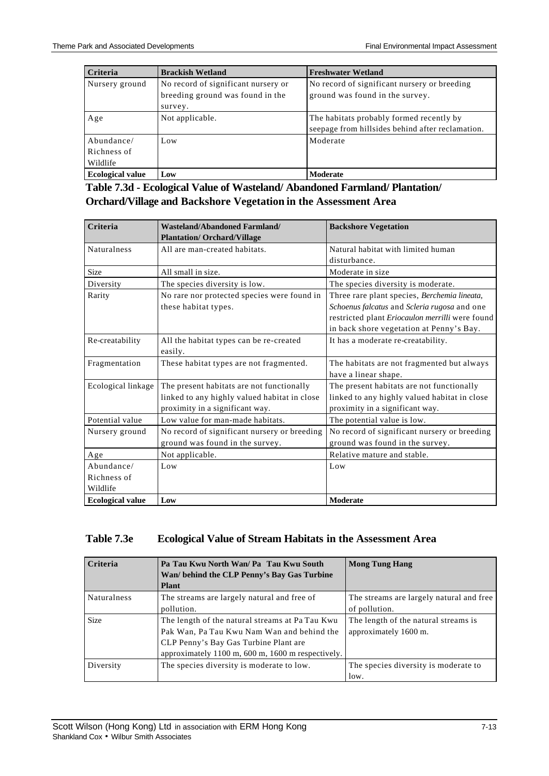| Criteria                              | <b>Brackish Wetland</b>                                                            | <b>Freshwater Wetland</b>                                                                    |
|---------------------------------------|------------------------------------------------------------------------------------|----------------------------------------------------------------------------------------------|
| Nursery ground                        | No record of significant nursery or<br>breeding ground was found in the<br>survey. | No record of significant nursery or breeding<br>ground was found in the survey.              |
| Age                                   | Not applicable.                                                                    | The habitats probably formed recently by<br>seepage from hillsides behind after reclamation. |
| Abundance/<br>Richness of<br>Wildlife | Low                                                                                | Moderate                                                                                     |
| <b>Ecological value</b>               | Low                                                                                | Moderate                                                                                     |

**Table 7.3d - Ecological Value of Wasteland/ Abandoned Farmland/ Plantation/ Orchard/Village and Backshore Vegetation in the Assessment Area**

| Criteria                              | <b>Wasteland/Abandoned Farmland/</b><br><b>Plantation/ Orchard/Village</b>                                                   | <b>Backshore Vegetation</b>                                                                                                                                                                 |
|---------------------------------------|------------------------------------------------------------------------------------------------------------------------------|---------------------------------------------------------------------------------------------------------------------------------------------------------------------------------------------|
| <b>Naturalness</b>                    | All are man-created habitats.                                                                                                | Natural habitat with limited human<br>disturbance.                                                                                                                                          |
| <b>Size</b>                           | All small in size.                                                                                                           | Moderate in size                                                                                                                                                                            |
| Diversity                             | The species diversity is low.                                                                                                | The species diversity is moderate.                                                                                                                                                          |
| Rarity                                | No rare nor protected species were found in<br>these habitat types.                                                          | Three rare plant species, Berchemia lineata,<br>Schoenus falcatus and Scleria rugosa and one<br>restricted plant Eriocaulon merrilli were found<br>in back shore vegetation at Penny's Bay. |
| Re-creatability                       | All the habitat types can be re-created<br>easily.                                                                           | It has a moderate re-creatability.                                                                                                                                                          |
| Fragmentation                         | These habitat types are not fragmented.                                                                                      | The habitats are not fragmented but always<br>have a linear shape.                                                                                                                          |
| Ecological linkage                    | The present habitats are not functionally<br>linked to any highly valued habitat in close<br>proximity in a significant way. | The present habitats are not functionally<br>linked to any highly valued habitat in close<br>proximity in a significant way.                                                                |
| Potential value                       | Low value for man-made habitats.                                                                                             | The potential value is low.                                                                                                                                                                 |
| Nursery ground                        | No record of significant nursery or breeding<br>ground was found in the survey.                                              | No record of significant nursery or breeding<br>ground was found in the survey.                                                                                                             |
| Age                                   | Not applicable.                                                                                                              | Relative mature and stable.                                                                                                                                                                 |
| Abundance/<br>Richness of<br>Wildlife | Low                                                                                                                          | Low                                                                                                                                                                                         |
| <b>Ecological value</b>               | Low                                                                                                                          | Moderate                                                                                                                                                                                    |

### **Table 7.3e Ecological Value of Stream Habitats in the Assessment Area**

| Criteria           | Pa Tau Kwu North Wan/ Pa Tau Kwu South<br>Wan/ behind the CLP Penny's Bay Gas Turbine<br><b>Plant</b>                                                                                       | <b>Mong Tung Hang</b>                                         |
|--------------------|---------------------------------------------------------------------------------------------------------------------------------------------------------------------------------------------|---------------------------------------------------------------|
| <b>Naturalness</b> | The streams are largely natural and free of<br>pollution.                                                                                                                                   | The streams are largely natural and free<br>of pollution.     |
| <b>Size</b>        | The length of the natural streams at Pa Tau Kwu<br>Pak Wan, Pa Tau Kwu Nam Wan and behind the<br>CLP Penny's Bay Gas Turbine Plant are<br>approximately 1100 m, 600 m, 1600 m respectively. | The length of the natural streams is<br>approximately 1600 m. |
| Diversity          | The species diversity is moderate to low.                                                                                                                                                   | The species diversity is moderate to<br>low.                  |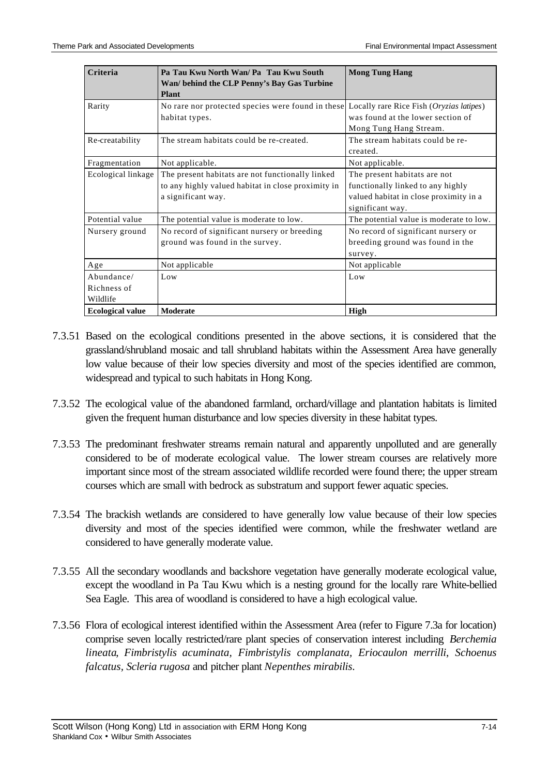| Criteria                              | Pa Tau Kwu North Wan/ Pa Tau Kwu South<br>Wan/ behind the CLP Penny's Bay Gas Turbine<br>Plant                               | <b>Mong Tung Hang</b>                                                                                                           |
|---------------------------------------|------------------------------------------------------------------------------------------------------------------------------|---------------------------------------------------------------------------------------------------------------------------------|
| Rarity                                | No rare nor protected species were found in these Locally rare Rice Fish (Oryzias latipes)<br>habitat types.                 | was found at the lower section of<br>Mong Tung Hang Stream.                                                                     |
| Re-creatability                       | The stream habitats could be re-created.                                                                                     | The stream habitats could be re-<br>created.                                                                                    |
| Fragmentation                         | Not applicable.                                                                                                              | Not applicable.                                                                                                                 |
| Ecological linkage                    | The present habitats are not functionally linked<br>to any highly valued habitat in close proximity in<br>a significant way. | The present habitats are not<br>functionally linked to any highly<br>valued habitat in close proximity in a<br>significant way. |
| Potential value                       | The potential value is moderate to low.                                                                                      | The potential value is moderate to low.                                                                                         |
| Nursery ground                        | No record of significant nursery or breeding<br>ground was found in the survey.                                              | No record of significant nursery or<br>breeding ground was found in the<br>survey.                                              |
| Age                                   | Not applicable                                                                                                               | Not applicable                                                                                                                  |
| Abundance/<br>Richness of<br>Wildlife | Low                                                                                                                          | Low                                                                                                                             |
| <b>Ecological value</b>               | Moderate                                                                                                                     | High                                                                                                                            |

- 7.3.51 Based on the ecological conditions presented in the above sections, it is considered that the grassland/shrubland mosaic and tall shrubland habitats within the Assessment Area have generally low value because of their low species diversity and most of the species identified are common, widespread and typical to such habitats in Hong Kong.
- 7.3.52 The ecological value of the abandoned farmland, orchard/village and plantation habitats is limited given the frequent human disturbance and low species diversity in these habitat types.
- 7.3.53 The predominant freshwater streams remain natural and apparently unpolluted and are generally considered to be of moderate ecological value. The lower stream courses are relatively more important since most of the stream associated wildlife recorded were found there; the upper stream courses which are small with bedrock as substratum and support fewer aquatic species.
- 7.3.54 The brackish wetlands are considered to have generally low value because of their low species diversity and most of the species identified were common, while the freshwater wetland are considered to have generally moderate value.
- 7.3.55 All the secondary woodlands and backshore vegetation have generally moderate ecological value, except the woodland in Pa Tau Kwu which is a nesting ground for the locally rare White-bellied Sea Eagle. This area of woodland is considered to have a high ecological value.
- 7.3.56 Flora of ecological interest identified within the Assessment Area (refer to Figure 7.3a for location) comprise seven locally restricted/rare plant species of conservation interest including *Berchemia lineata*, *Fimbristylis acuminata, Fimbristylis complanata, Eriocaulon merrilli*, *Schoenus falcatus, Scleria rugosa* and pitcher plant *Nepenthes mirabilis*.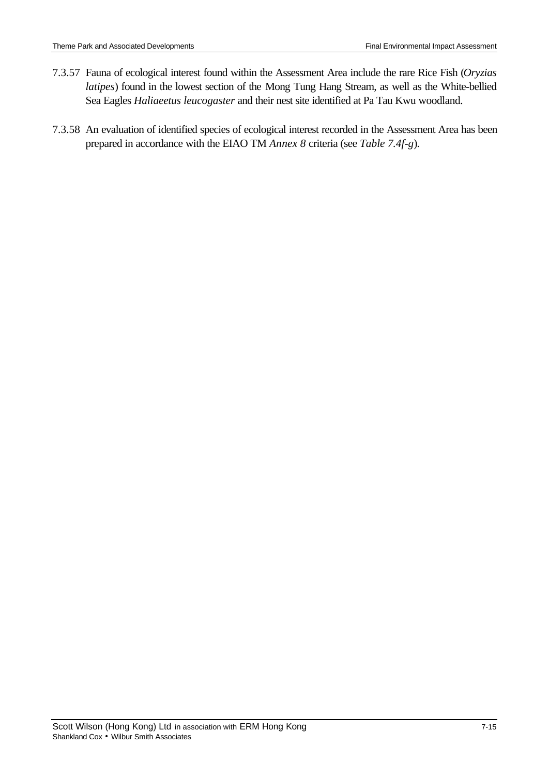- 7.3.57 Fauna of ecological interest found within the Assessment Area include the rare Rice Fish (*Oryzias latipes*) found in the lowest section of the Mong Tung Hang Stream, as well as the White-bellied Sea Eagles *Haliaeetus leucogaster* and their nest site identified at Pa Tau Kwu woodland.
- 7.3.58 An evaluation of identified species of ecological interest recorded in the Assessment Area has been prepared in accordance with the EIAO TM *Annex 8* criteria (see *Table 7.4f-g*)*.*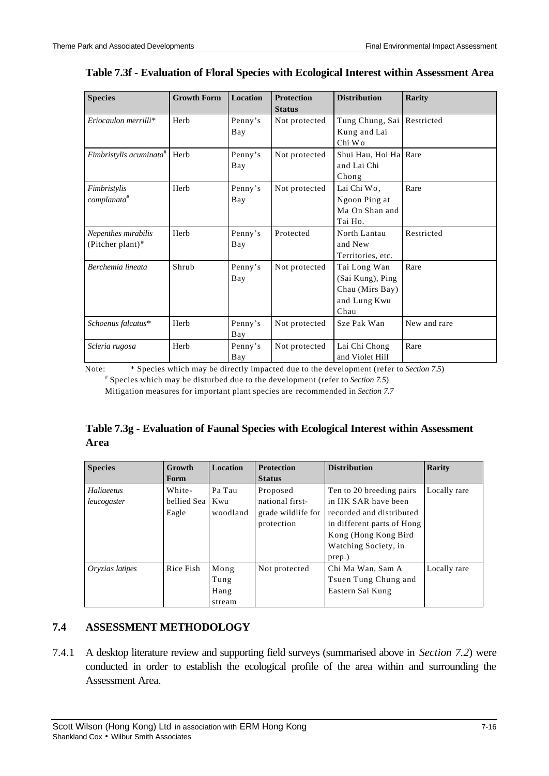| <b>Species</b>                      | <b>Growth Form</b> | <b>Location</b> | <b>Protection</b> | <b>Distribution</b>          | <b>Rarity</b> |
|-------------------------------------|--------------------|-----------------|-------------------|------------------------------|---------------|
|                                     |                    |                 | <b>Status</b>     |                              |               |
| $Eriocaulon merrilli*$              | Herb               | Penny's         | Not protected     | Tung Chung, Sai   Restricted |               |
|                                     |                    | Bay             |                   | Kung and Lai                 |               |
|                                     |                    |                 |                   | Chi Wo                       |               |
| Fimbristylis acuminata <sup>#</sup> | Herb               | Penny's         | Not protected     | Shui Hau, Hoi Ha Rare        |               |
|                                     |                    | Bay             |                   | and Lai Chi                  |               |
|                                     |                    |                 |                   | Chong                        |               |
| Fimbristylis                        | Herb               | Penny's         | Not protected     | Lai Chi Wo,                  | Rare          |
| complanata <sup>#</sup>             |                    | Bay             |                   | Ngoon Ping at                |               |
|                                     |                    |                 |                   | Ma On Shan and               |               |
|                                     |                    |                 |                   | Tai Ho.                      |               |
| Nepenthes mirabilis                 | Herb               | Penny's         | Protected         | North Lantau                 | Restricted    |
| (Pitcher plant) $#$                 |                    | Bay             |                   | and New                      |               |
|                                     |                    |                 |                   | Territories, etc.            |               |
| Berchemia lineata                   | Shrub              | Penny's         | Not protected     | Tai Long Wan                 | Rare          |
|                                     |                    | Bay             |                   | (Sai Kung), Ping             |               |
|                                     |                    |                 |                   | Chau (Mirs Bay)              |               |
|                                     |                    |                 |                   | and Lung Kwu                 |               |
|                                     |                    |                 |                   | Chau                         |               |
| Schoenus falcatus*                  | Herb               | Penny's         | Not protected     | Sze Pak Wan                  | New and rare  |
|                                     |                    | Bay             |                   |                              |               |
| Scleria rugosa                      | Herb               | Penny's         | Not protected     | Lai Chi Chong                | Rare          |
|                                     |                    | Bay             |                   | and Violet Hill              |               |

### **Table 7.3f - Evaluation of Floral Species with Ecological Interest within Assessment Area**

Note: \* Species which may be directly impacted due to the development (refer to *Section 7.5*) # Species which may be disturbed due to the development (refer to *Section 7.5*)

Mitigation measures for important plant species are recommended in *Section 7.7*

# **Table 7.3g - Evaluation of Faunal Species with Ecological Interest within Assessment Area**

| <b>Species</b>  | Growth          | <b>Location</b> | <b>Protection</b>  | <b>Distribution</b>        | <b>Rarity</b> |
|-----------------|-----------------|-----------------|--------------------|----------------------------|---------------|
|                 | Form            |                 | <b>Status</b>      |                            |               |
| Haliaeetus      | White-          | Pa Tau          | Proposed           | Ten to 20 breeding pairs   | Locally rare  |
| leucogaster     | bellied Sea Kwu |                 | national first-    | in HK SAR have been        |               |
|                 | Eagle           | woodland        | grade wildlife for | recorded and distributed   |               |
|                 |                 |                 | protection         | in different parts of Hong |               |
|                 |                 |                 |                    | Kong (Hong Kong Bird       |               |
|                 |                 |                 |                    | Watching Society, in       |               |
|                 |                 |                 |                    | prep.)                     |               |
| Oryzias latipes | Rice Fish       | Mong            | Not protected      | Chi Ma Wan, Sam A          | Locally rare  |
|                 |                 | Tung            |                    | Tsuen Tung Chung and       |               |
|                 |                 | Hang            |                    | Eastern Sai Kung           |               |
|                 |                 | stream          |                    |                            |               |

# **7.4 ASSESSMENT METHODOLOGY**

7.4.1 A desktop literature review and supporting field surveys (summarised above in *Section 7.2*) were conducted in order to establish the ecological profile of the area within and surrounding the Assessment Area.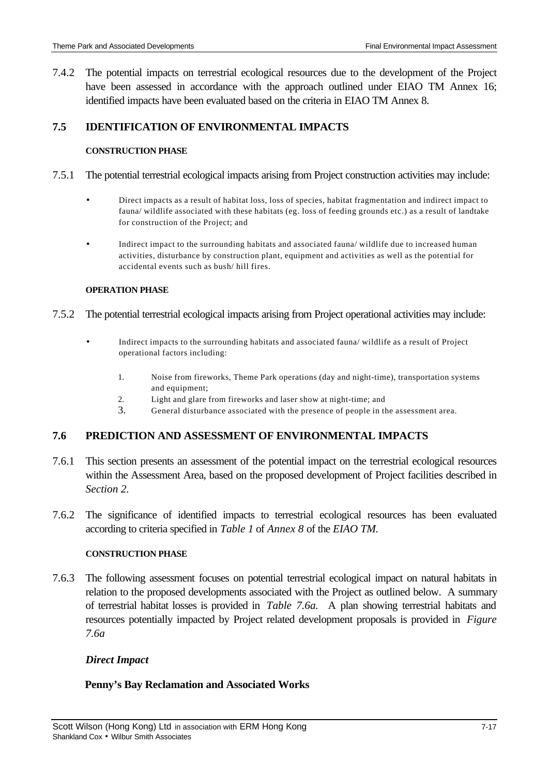7.4.2 The potential impacts on terrestrial ecological resources due to the development of the Project have been assessed in accordance with the approach outlined under EIAO TM Annex 16; identified impacts have been evaluated based on the criteria in EIAO TM Annex 8.

### **7.5 IDENTIFICATION OF ENVIRONMENTAL IMPACTS**

#### **CONSTRUCTION PHASE**

- 7.5.1 The potential terrestrial ecological impacts arising from Project construction activities may include:
	- Direct impacts as a result of habitat loss, loss of species, habitat fragmentation and indirect impact to fauna/ wildlife associated with these habitats (eg. loss of feeding grounds etc.) as a result of landtake for construction of the Project; and
	- Indirect impact to the surrounding habitats and associated fauna/ wildlife due to increased human activities, disturbance by construction plant, equipment and activities as well as the potential for accidental events such as bush/ hill fires.

#### **OPERATION PHASE**

#### 7.5.2 The potential terrestrial ecological impacts arising from Project operational activities may include:

- Indirect impacts to the surrounding habitats and associated fauna/ wildlife as a result of Project operational factors including:
	- 1. Noise from fireworks, Theme Park operations (day and night-time), transportation systems and equipment;
	- 2. Light and glare from fireworks and laser show at night-time; and
	- 3. General disturbance associated with the presence of people in the assessment area.

# **7.6 PREDICTION AND ASSESSMENT OF ENVIRONMENTAL IMPACTS**

- 7.6.1 This section presents an assessment of the potential impact on the terrestrial ecological resources within the Assessment Area, based on the proposed development of Project facilities described in *Section 2.*
- 7.6.2 The significance of identified impacts to terrestrial ecological resources has been evaluated according to criteria specified in *Table 1* of *Annex 8* of the *EIAO TM.*

#### **CONSTRUCTION PHASE**

7.6.3 The following assessment focuses on potential terrestrial ecological impact on natural habitats in relation to the proposed developments associated with the Project as outlined below. A summary of terrestrial habitat losses is provided in *Table 7.6a.* A plan showing terrestrial habitats and resources potentially impacted by Project related development proposals is provided in *Figure 7.6a*

### *Direct Impact*

### **Penny's Bay Reclamation and Associated Works**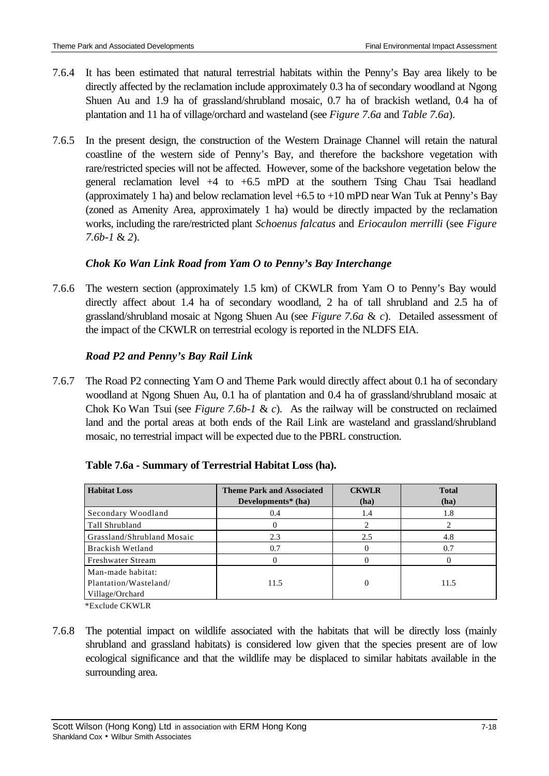- 7.6.4 It has been estimated that natural terrestrial habitats within the Penny's Bay area likely to be directly affected by the reclamation include approximately 0.3 ha of secondary woodland at Ngong Shuen Au and 1.9 ha of grassland/shrubland mosaic, 0.7 ha of brackish wetland, 0.4 ha of plantation and 11 ha of village/orchard and wasteland (see *Figure 7.6a* and *Table 7.6a*).
- 7.6.5 In the present design, the construction of the Western Drainage Channel will retain the natural coastline of the western side of Penny's Bay, and therefore the backshore vegetation with rare/restricted species will not be affected. However, some of the backshore vegetation below the general reclamation level  $+4$  to  $+6.5$  mPD at the southern Tsing Chau Tsai headland (approximately 1 ha) and below reclamation level  $+6.5$  to  $+10$  mPD near Wan Tuk at Penny's Bay (zoned as Amenity Area, approximately 1 ha) would be directly impacted by the reclamation works, including the rare/restricted plant *Schoenus falcatus* and *Eriocaulon merrilli* (see *Figure 7.6b-1* & *2*).

# *Chok Ko Wan Link Road from Yam O to Penny's Bay Interchange*

7.6.6 The western section (approximately 1.5 km) of CKWLR from Yam O to Penny's Bay would directly affect about 1.4 ha of secondary woodland, 2 ha of tall shrubland and 2.5 ha of grassland/shrubland mosaic at Ngong Shuen Au (see *Figure 7.6a* & *c*). Detailed assessment of the impact of the CKWLR on terrestrial ecology is reported in the NLDFS EIA.

# *Road P2 and Penny's Bay Rail Link*

7.6.7 The Road P2 connecting Yam O and Theme Park would directly affect about 0.1 ha of secondary woodland at Ngong Shuen Au, 0.1 ha of plantation and 0.4 ha of grassland/shrubland mosaic at Chok Ko Wan Tsui (see *Figure 7.6b-1* & *c*). As the railway will be constructed on reclaimed land and the portal areas at both ends of the Rail Link are wasteland and grassland/shrubland mosaic, no terrestrial impact will be expected due to the PBRL construction.

| <b>Habitat Loss</b>                                           | <b>Theme Park and Associated</b><br>Developments $*$ (ha) | <b>CKWLR</b><br>(ha) | <b>Total</b><br>(ha) |
|---------------------------------------------------------------|-----------------------------------------------------------|----------------------|----------------------|
| Secondary Woodland                                            | 0.4                                                       | 1.4                  | 1.8                  |
| Tall Shrubland                                                |                                                           |                      |                      |
| Grassland/Shrubland Mosaic                                    | 2.3                                                       | 2.5                  | 4.8                  |
| Brackish Wetland                                              | 0.7                                                       |                      | 0.7                  |
| Freshwater Stream                                             |                                                           |                      |                      |
| Man-made habitat:<br>Plantation/Wasteland/<br>Village/Orchard | 11.5                                                      | 0                    | 11.5                 |

# **Table 7.6a - Summary of Terrestrial Habitat Loss (ha).**

\*Exclude CKWLR

7.6.8 The potential impact on wildlife associated with the habitats that will be directly loss (mainly shrubland and grassland habitats) is considered low given that the species present are of low ecological significance and that the wildlife may be displaced to similar habitats available in the surrounding area.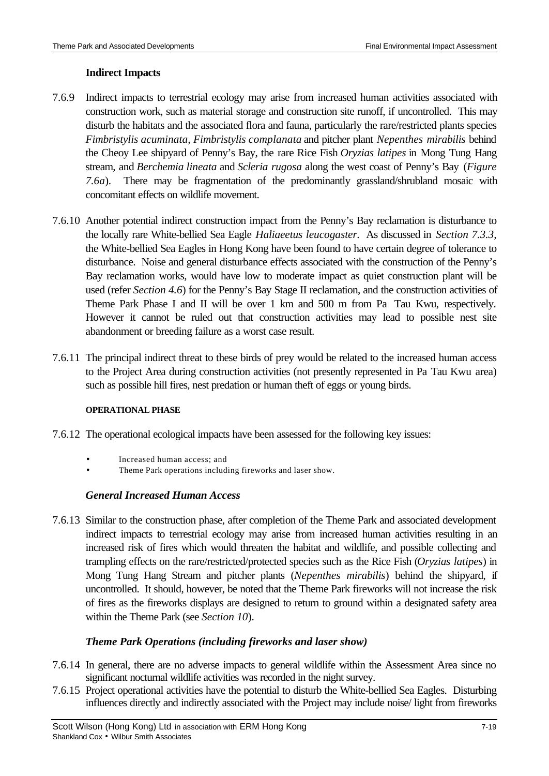# **Indirect Impacts**

- 7.6.9 Indirect impacts to terrestrial ecology may arise from increased human activities associated with construction work, such as material storage and construction site runoff, if uncontrolled. This may disturb the habitats and the associated flora and fauna, particularly the rare/restricted plants species *Fimbristylis acuminata, Fimbristylis complanata* and pitcher plant *Nepenthes mirabilis* behind the Cheoy Lee shipyard of Penny's Bay, the rare Rice Fish *Oryzias latipes* in Mong Tung Hang stream, and *Berchemia lineata* and *Scleria rugosa* along the west coast of Penny's Bay (*Figure 7.6a*). There may be fragmentation of the predominantly grassland/shrubland mosaic with concomitant effects on wildlife movement.
- 7.6.10 Another potential indirect construction impact from the Penny's Bay reclamation is disturbance to the locally rare White-bellied Sea Eagle *Haliaeetus leucogaster.* As discussed in *Section 7.3.3,* the White-bellied Sea Eagles in Hong Kong have been found to have certain degree of tolerance to disturbance. Noise and general disturbance effects associated with the construction of the Penny's Bay reclamation works, would have low to moderate impact as quiet construction plant will be used (refer *Section 4.6*) for the Penny's Bay Stage II reclamation, and the construction activities of Theme Park Phase I and II will be over 1 km and 500 m from Pa Tau Kwu, respectively. However it cannot be ruled out that construction activities may lead to possible nest site abandonment or breeding failure as a worst case result.
- 7.6.11 The principal indirect threat to these birds of prey would be related to the increased human access to the Project Area during construction activities (not presently represented in Pa Tau Kwu area) such as possible hill fires, nest predation or human theft of eggs or young birds.

### **OPERATIONAL PHASE**

- 7.6.12 The operational ecological impacts have been assessed for the following key issues:
	- Increased human access; and
	- Theme Park operations including fireworks and laser show.

# *General Increased Human Access*

7.6.13 Similar to the construction phase, after completion of the Theme Park and associated development indirect impacts to terrestrial ecology may arise from increased human activities resulting in an increased risk of fires which would threaten the habitat and wildlife, and possible collecting and trampling effects on the rare/restricted/protected species such as the Rice Fish (*Oryzias latipes*) in Mong Tung Hang Stream and pitcher plants (*Nepenthes mirabilis*) behind the shipyard, if uncontrolled. It should, however, be noted that the Theme Park fireworks will not increase the risk of fires as the fireworks displays are designed to return to ground within a designated safety area within the Theme Park (see *Section 10*).

# *Theme Park Operations (including fireworks and laser show)*

- 7.6.14 In general, there are no adverse impacts to general wildlife within the Assessment Area since no significant nocturnal wildlife activities was recorded in the night survey.
- 7.6.15 Project operational activities have the potential to disturb the White-bellied Sea Eagles. Disturbing influences directly and indirectly associated with the Project may include noise/ light from fireworks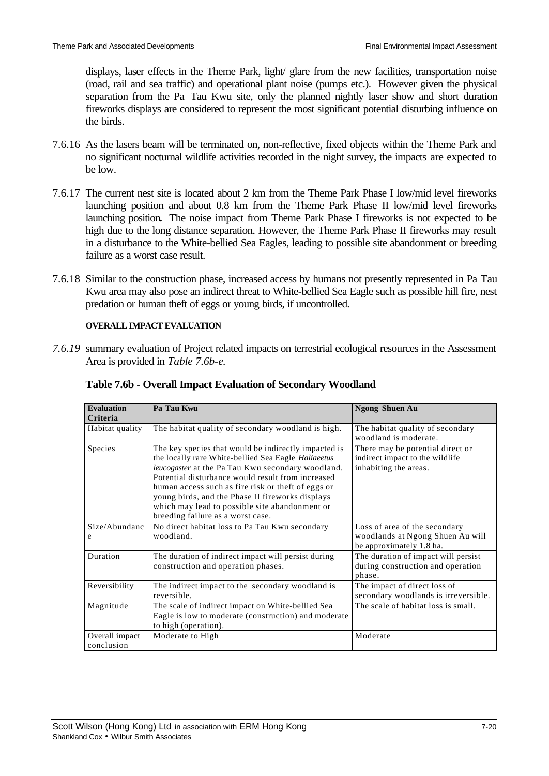displays, laser effects in the Theme Park, light/ glare from the new facilities, transportation noise (road, rail and sea traffic) and operational plant noise (pumps etc.). However given the physical separation from the Pa Tau Kwu site, only the planned nightly laser show and short duration fireworks displays are considered to represent the most significant potential disturbing influence on the birds.

- 7.6.16 As the lasers beam will be terminated on, non-reflective, fixed objects within the Theme Park and no significant nocturnal wildlife activities recorded in the night survey, the impacts are expected to be low.
- 7.6.17 The current nest site is located about 2 km from the Theme Park Phase I low/mid level fireworks launching position and about 0.8 km from the Theme Park Phase II low/mid level fireworks launching position**.** The noise impact from Theme Park Phase I fireworks is not expected to be high due to the long distance separation. However, the Theme Park Phase II fireworks may result in a disturbance to the White-bellied Sea Eagles, leading to possible site abandonment or breeding failure as a worst case result.
- 7.6.18 Similar to the construction phase, increased access by humans not presently represented in Pa Tau Kwu area may also pose an indirect threat to White-bellied Sea Eagle such as possible hill fire, nest predation or human theft of eggs or young birds, if uncontrolled.

### **OVERALL IMPACT EVALUATION**

*7.6.19* summary evaluation of Project related impacts on terrestrial ecological resources in the Assessment Area is provided in *Table 7.6b-e.*

| <b>Evaluation</b><br>Criteria | Pa Tau Kwu                                                                                                                                                                                                                                                                                                                                                                                                             | <b>Ngong Shuen Au</b>                                                                         |
|-------------------------------|------------------------------------------------------------------------------------------------------------------------------------------------------------------------------------------------------------------------------------------------------------------------------------------------------------------------------------------------------------------------------------------------------------------------|-----------------------------------------------------------------------------------------------|
| Habitat quality               | The habitat quality of secondary woodland is high.                                                                                                                                                                                                                                                                                                                                                                     | The habitat quality of secondary<br>woodland is moderate.                                     |
| Species                       | The key species that would be indirectly impacted is<br>the locally rare White-bellied Sea Eagle Haliaeetus<br>leucogaster at the Pa Tau Kwu secondary woodland.<br>Potential disturbance would result from increased<br>human access such as fire risk or theft of eggs or<br>young birds, and the Phase II fireworks displays<br>which may lead to possible site abandonment or<br>breeding failure as a worst case. | There may be potential direct or<br>indirect impact to the wildlife<br>inhabiting the areas.  |
| Size/Abundanc<br>e            | No direct habitat loss to Pa Tau Kwu secondary<br>woodland.                                                                                                                                                                                                                                                                                                                                                            | Loss of area of the secondary<br>woodlands at Ngong Shuen Au will<br>be approximately 1.8 ha. |
| Duration                      | The duration of indirect impact will persist during<br>construction and operation phases.                                                                                                                                                                                                                                                                                                                              | The duration of impact will persist<br>during construction and operation<br>phase.            |
| Reversibility                 | The indirect impact to the secondary woodland is<br>reversible.                                                                                                                                                                                                                                                                                                                                                        | The impact of direct loss of<br>secondary woodlands is irreversible.                          |
| Magnitude                     | The scale of indirect impact on White-bellied Sea<br>Eagle is low to moderate (construction) and moderate<br>to high (operation).                                                                                                                                                                                                                                                                                      | The scale of habitat loss is small.                                                           |
| Overall impact<br>conclusion  | Moderate to High                                                                                                                                                                                                                                                                                                                                                                                                       | Moderate                                                                                      |

### **Table 7.6b - Overall Impact Evaluation of Secondary Woodland**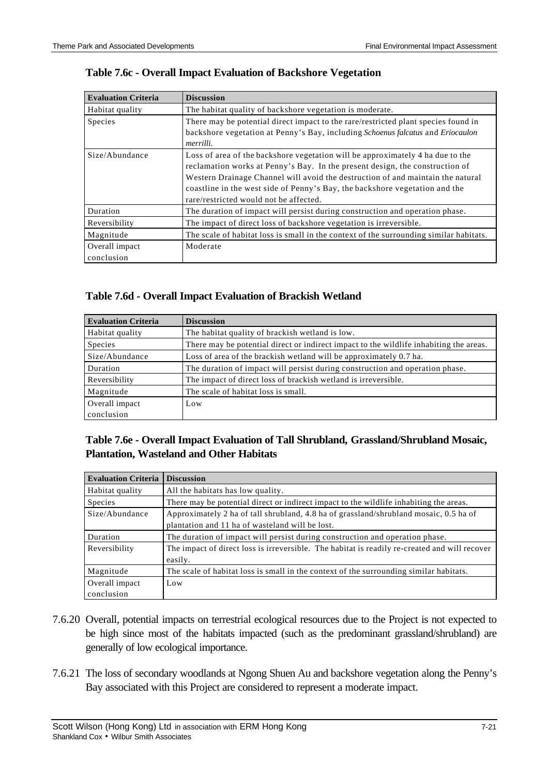| <b>Evaluation Criteria</b> | <b>Discussion</b>                                                                                                                                              |  |
|----------------------------|----------------------------------------------------------------------------------------------------------------------------------------------------------------|--|
| Habitat quality            | The habitat quality of backshore vegetation is moderate.                                                                                                       |  |
| Species                    | There may be potential direct impact to the rare/restricted plant species found in                                                                             |  |
|                            | backshore vegetation at Penny's Bay, including Schoenus falcatus and Eriocaulon<br>merrilli.                                                                   |  |
| Size/Abundance             | Loss of area of the backshore vegetation will be approximately 4 ha due to the<br>reclamation works at Penny's Bay. In the present design, the construction of |  |
|                            | Western Drainage Channel will avoid the destruction of and maintain the natural                                                                                |  |
|                            | coastline in the west side of Penny's Bay, the backshore vegetation and the                                                                                    |  |
|                            | rare/restricted would not be affected.                                                                                                                         |  |
| Duration                   | The duration of impact will persist during construction and operation phase.                                                                                   |  |
| Reversibility              | The impact of direct loss of backshore vegetation is irreversible.                                                                                             |  |
| Magnitude                  | The scale of habitat loss is small in the context of the surrounding similar habitats.                                                                         |  |
| Overall impact             | Moderate                                                                                                                                                       |  |
| conclusion                 |                                                                                                                                                                |  |

### **Table 7.6c - Overall Impact Evaluation of Backshore Vegetation**

### **Table 7.6d - Overall Impact Evaluation of Brackish Wetland**

| <b>Evaluation Criteria</b> | <b>Discussion</b>                                                                      |
|----------------------------|----------------------------------------------------------------------------------------|
| Habitat quality            | The habitat quality of brackish wetland is low.                                        |
| Species                    | There may be potential direct or indirect impact to the wildlife inhabiting the areas. |
| Size/Abundance             | Loss of area of the brackish wetland will be approximately 0.7 ha.                     |
| Duration                   | The duration of impact will persist during construction and operation phase.           |
| Reversibility              | The impact of direct loss of brackish wetland is irreversible.                         |
| Magnitude                  | The scale of habitat loss is small.                                                    |
| Overall impact             | Low                                                                                    |
| conclusion                 |                                                                                        |

# **Table 7.6e - Overall Impact Evaluation of Tall Shrubland, Grassland/Shrubland Mosaic, Plantation, Wasteland and Other Habitats**

| <b>Evaluation Criteria</b>   | <b>Discussion</b>                                                                                                                        |
|------------------------------|------------------------------------------------------------------------------------------------------------------------------------------|
| Habitat quality              | All the habitats has low quality.                                                                                                        |
| Species                      | There may be potential direct or indirect impact to the wildlife inhabiting the areas.                                                   |
| Size/Abundance               | Approximately 2 ha of tall shrubland, 4.8 ha of grassland/shrubland mosaic, 0.5 ha of<br>plantation and 11 ha of wasteland will be lost. |
| Duration                     | The duration of impact will persist during construction and operation phase.                                                             |
| Reversibility                | The impact of direct loss is irreversible. The habitat is readily re-created and will recover<br>easily.                                 |
| Magnitude                    | The scale of habitat loss is small in the context of the surrounding similar habitats.                                                   |
| Overall impact<br>conclusion | Low                                                                                                                                      |

- 7.6.20 Overall, potential impacts on terrestrial ecological resources due to the Project is not expected to be high since most of the habitats impacted (such as the predominant grassland/shrubland) are generally of low ecological importance.
- 7.6.21 The loss of secondary woodlands at Ngong Shuen Au and backshore vegetation along the Penny's Bay associated with this Project are considered to represent a moderate impact.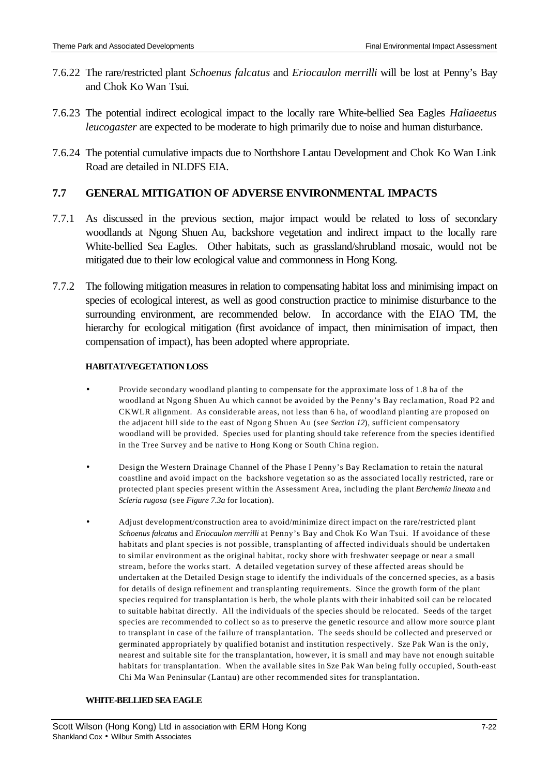- 7.6.22 The rare/restricted plant *Schoenus falcatus* and *Eriocaulon merrilli* will be lost at Penny's Bay and Chok Ko Wan Tsui.
- 7.6.23 The potential indirect ecological impact to the locally rare White-bellied Sea Eagles *Haliaeetus leucogaster* are expected to be moderate to high primarily due to noise and human disturbance.
- 7.6.24 The potential cumulative impacts due to Northshore Lantau Development and Chok Ko Wan Link Road are detailed in NLDFS EIA.

# **7.7 GENERAL MITIGATION OF ADVERSE ENVIRONMENTAL IMPACTS**

- 7.7.1 As discussed in the previous section, major impact would be related to loss of secondary woodlands at Ngong Shuen Au, backshore vegetation and indirect impact to the locally rare White-bellied Sea Eagles. Other habitats, such as grassland/shrubland mosaic, would not be mitigated due to their low ecological value and commonness in Hong Kong.
- 7.7.2 The following mitigation measures in relation to compensating habitat loss and minimising impact on species of ecological interest, as well as good construction practice to minimise disturbance to the surrounding environment, are recommended below. In accordance with the EIAO TM, the hierarchy for ecological mitigation (first avoidance of impact, then minimisation of impact, then compensation of impact), has been adopted where appropriate.

#### **HABITAT/VEGETATION LOSS**

- Provide secondary woodland planting to compensate for the approximate loss of 1.8 ha of the woodland at Ngong Shuen Au which cannot be avoided by the Penny's Bay reclamation, Road P2 and CKWLR alignment. As considerable areas, not less than 6 ha, of woodland planting are proposed on the adjacent hill side to the east of Ngong Shuen Au (see *Section 12*), sufficient compensatory woodland will be provided. Species used for planting should take reference from the species identified in the Tree Survey and be native to Hong Kong or South China region.
- Design the Western Drainage Channel of the Phase I Penny's Bay Reclamation to retain the natural coastline and avoid impact on the backshore vegetation so as the associated locally restricted, rare or protected plant species present within the Assessment Area, including the plant *Berchemia lineata* and *Scleria rugosa* (see *Figure 7.3a* for location).
- Adjust development/construction area to avoid/minimize direct impact on the rare/restricted plant *Schoenus falcatus* and *Eriocaulon merrilli* at Penny's Bay and Chok Ko Wan Tsui. If avoidance of these habitats and plant species is not possible, transplanting of affected individuals should be undertaken to similar environment as the original habitat, rocky shore with freshwater seepage or near a small stream, before the works start. A detailed vegetation survey of these affected areas should be undertaken at the Detailed Design stage to identify the individuals of the concerned species, as a basis for details of design refinement and transplanting requirements. Since the growth form of the plant species required for transplantation is herb, the whole plants with their inhabited soil can be relocated to suitable habitat directly. All the individuals of the species should be relocated. Seeds of the target species are recommended to collect so as to preserve the genetic resource and allow more source plant to transplant in case of the failure of transplantation. The seeds should be collected and preserved or germinated appropriately by qualified botanist and institution respectively. Sze Pak Wan is the only, nearest and suitable site for the transplantation, however, it is small and may have not enough suitable habitats for transplantation. When the available sites in Sze Pak Wan being fully occupied, South-east Chi Ma Wan Peninsular (Lantau) are other recommended sites for transplantation.

#### **WHITE-BELLIED SEA EAGLE**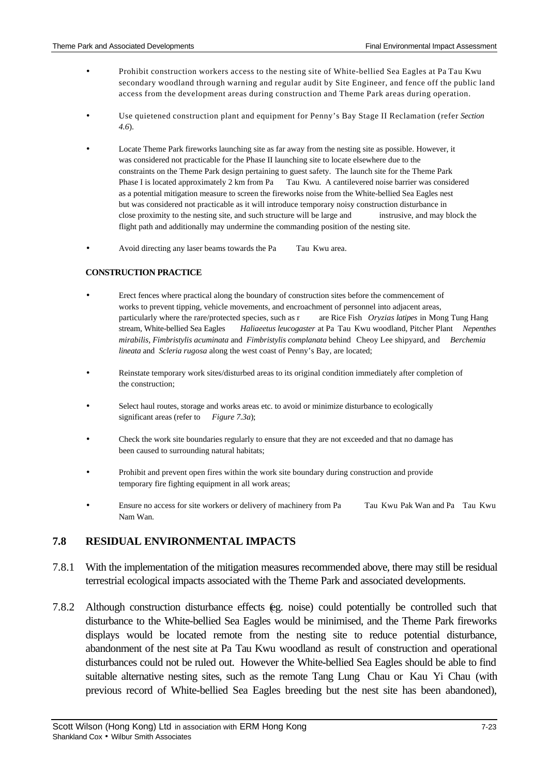- Prohibit construction workers access to the nesting site of White-bellied Sea Eagles at Pa Tau Kwu secondary woodland through warning and regular audit by Site Engineer, and fence off the public land access from the development areas during construction and Theme Park areas during operation.
- Use quietened construction plant and equipment for Penny's Bay Stage II Reclamation (refer *Section 4.6*).
- Locate Theme Park fireworks launching site as far away from the nesting site as possible. However, it was considered not practicable for the Phase II launching site to locate elsewhere due to the constraints on the Theme Park design pertaining to guest safety. The launch site for the Theme Park Phase I is located approximately 2 km from Pa Tau Kwu. A cantilevered noise barrier was considered as a potential mitigation measure to screen the fireworks noise from the White-bellied Sea Eagles nest but was considered not practicable as it will introduce temporary noisy construction disturbance in close proximity to the nesting site, and such structure will be large and instrusive, and may block the flight path and additionally may undermine the commanding position of the nesting site.
- Avoid directing any laser beams towards the Pa Tau Kwu area.

#### **CONSTRUCTION PRACTICE**

- Erect fences where practical along the boundary of construction sites before the commencement of works to prevent tipping, vehicle movements, and encroachment of personnel into adjacent areas, particularly where the rare/protected species, such as r are Rice Fish *Oryzias latipes* in Mong Tung Hang stream, White-bellied Sea Eagles *Haliaeetus leucogaster* at Pa Tau Kwu woodland, Pitcher Plant *Nepenthes mirabilis, Fimbristylis acuminata* and *Fimbristylis complanata* behind Cheoy Lee shipyard, and *Berchemia lineata* and *Scleria rugosa* along the west coast of Penny's Bay, are located;
- Reinstate temporary work sites/disturbed areas to its original condition immediately after completion of the construction;
- Select haul routes, storage and works areas etc. to avoid or minimize disturbance to ecologically significant areas (refer to *Figure 7.3a*);
- Check the work site boundaries regularly to ensure that they are not exceeded and that no damage has been caused to surrounding natural habitats;
- Prohibit and prevent open fires within the work site boundary during construction and provide temporary fire fighting equipment in all work areas;
- Ensure no access for site workers or delivery of machinery from Pa Tau Kwu Pak Wan and Pa Tau Kwu Nam Wan.

### **7.8 RESIDUAL ENVIRONMENTAL IMPACTS**

- 7.8.1 With the implementation of the mitigation measures recommended above, there may still be residual terrestrial ecological impacts associated with the Theme Park and associated developments.
- 7.8.2 Although construction disturbance effects (eg. noise) could potentially be controlled such that disturbance to the White-bellied Sea Eagles would be minimised, and the Theme Park fireworks displays would be located remote from the nesting site to reduce potential disturbance, abandonment of the nest site at Pa Tau Kwu woodland as result of construction and operational disturbances could not be ruled out. However the White-bellied Sea Eagles should be able to find suitable alternative nesting sites, such as the remote Tang Lung Chau or Kau Yi Chau (with previous record of White-bellied Sea Eagles breeding but the nest site has been abandoned),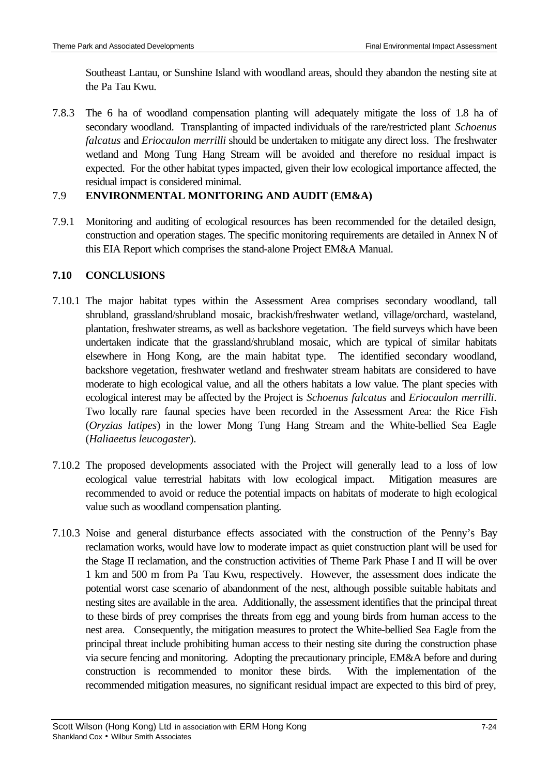Southeast Lantau, or Sunshine Island with woodland areas, should they abandon the nesting site at the Pa Tau Kwu.

7.8.3 The 6 ha of woodland compensation planting will adequately mitigate the loss of 1.8 ha of secondary woodland. Transplanting of impacted individuals of the rare/restricted plant *Schoenus falcatus* and *Eriocaulon merrilli* should be undertaken to mitigate any direct loss. The freshwater wetland and Mong Tung Hang Stream will be avoided and therefore no residual impact is expected. For the other habitat types impacted, given their low ecological importance affected, the residual impact is considered minimal.

# 7.9 **ENVIRONMENTAL MONITORING AND AUDIT (EM&A)**

7.9.1 Monitoring and auditing of ecological resources has been recommended for the detailed design, construction and operation stages. The specific monitoring requirements are detailed in Annex N of this EIA Report which comprises the stand-alone Project EM&A Manual.

# **7.10 CONCLUSIONS**

- 7.10.1 The major habitat types within the Assessment Area comprises secondary woodland, tall shrubland, grassland/shrubland mosaic, brackish/freshwater wetland, village/orchard, wasteland, plantation, freshwater streams, as well as backshore vegetation. The field surveys which have been undertaken indicate that the grassland/shrubland mosaic, which are typical of similar habitats elsewhere in Hong Kong, are the main habitat type. The identified secondary woodland, backshore vegetation, freshwater wetland and freshwater stream habitats are considered to have moderate to high ecological value, and all the others habitats a low value. The plant species with ecological interest may be affected by the Project is *Schoenus falcatus* and *Eriocaulon merrilli*. Two locally rare faunal species have been recorded in the Assessment Area: the Rice Fish (*Oryzias latipes*) in the lower Mong Tung Hang Stream and the White-bellied Sea Eagle (*Haliaeetus leucogaster*).
- 7.10.2 The proposed developments associated with the Project will generally lead to a loss of low ecological value terrestrial habitats with low ecological impact. Mitigation measures are recommended to avoid or reduce the potential impacts on habitats of moderate to high ecological value such as woodland compensation planting.
- 7.10.3 Noise and general disturbance effects associated with the construction of the Penny's Bay reclamation works, would have low to moderate impact as quiet construction plant will be used for the Stage II reclamation, and the construction activities of Theme Park Phase I and II will be over 1 km and 500 m from Pa Tau Kwu, respectively. However, the assessment does indicate the potential worst case scenario of abandonment of the nest, although possible suitable habitats and nesting sites are available in the area. Additionally, the assessment identifies that the principal threat to these birds of prey comprises the threats from egg and young birds from human access to the nest area. Consequently, the mitigation measures to protect the White-bellied Sea Eagle from the principal threat include prohibiting human access to their nesting site during the construction phase via secure fencing and monitoring. Adopting the precautionary principle, EM&A before and during construction is recommended to monitor these birds. With the implementation of the recommended mitigation measures, no significant residual impact are expected to this bird of prey,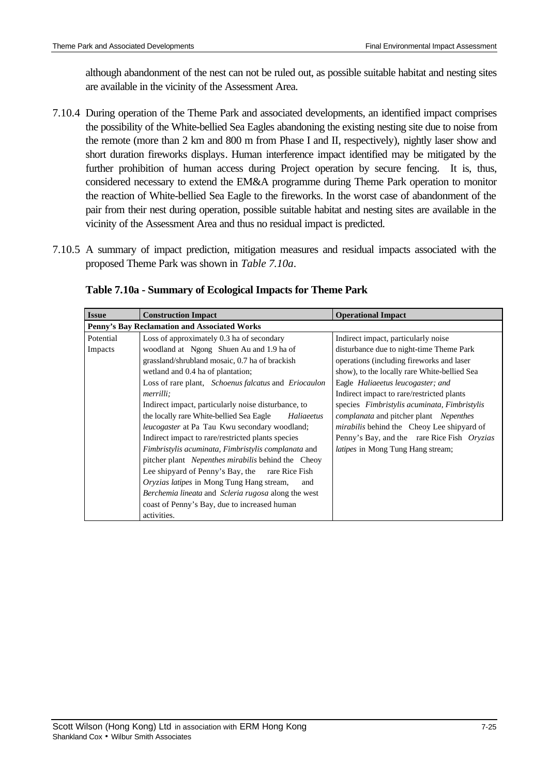although abandonment of the nest can not be ruled out, as possible suitable habitat and nesting sites are available in the vicinity of the Assessment Area.

- 7.10.4 During operation of the Theme Park and associated developments, an identified impact comprises the possibility of the White-bellied Sea Eagles abandoning the existing nesting site due to noise from the remote (more than 2 km and 800 m from Phase I and II, respectively), nightly laser show and short duration fireworks displays. Human interference impact identified may be mitigated by the further prohibition of human access during Project operation by secure fencing. It is, thus, considered necessary to extend the EM&A programme during Theme Park operation to monitor the reaction of White-bellied Sea Eagle to the fireworks. In the worst case of abandonment of the pair from their nest during operation, possible suitable habitat and nesting sites are available in the vicinity of the Assessment Area and thus no residual impact is predicted.
- 7.10.5 A summary of impact prediction, mitigation measures and residual impacts associated with the proposed Theme Park was shown in *Table 7.10a*.

| <b>Issue</b>                                 | <b>Construction Impact</b>                                         | <b>Operational Impact</b>                         |
|----------------------------------------------|--------------------------------------------------------------------|---------------------------------------------------|
| Penny's Bay Reclamation and Associated Works |                                                                    |                                                   |
| Potential                                    | Loss of approximately 0.3 ha of secondary                          | Indirect impact, particularly noise               |
| Impacts                                      | woodland at Ngong Shuen Au and 1.9 ha of                           | disturbance due to night-time Theme Park          |
|                                              | grassland/shrubland mosaic, 0.7 ha of brackish                     | operations (including fireworks and laser         |
|                                              | wetland and 0.4 ha of plantation;                                  | show), to the locally rare White-bellied Sea      |
|                                              | Loss of rare plant, <i>Schoenus falcatus</i> and <i>Eriocaulon</i> | Eagle Haliaeetus leucogaster; and                 |
|                                              | <i>merrilli</i> :                                                  | Indirect impact to rare/restricted plants         |
|                                              | Indirect impact, particularly noise disturbance, to                | species Fimbristylis acuminata, Fimbristylis      |
|                                              | the locally rare White-bellied Sea Eagle<br>Haliaeetus             | <i>complanata</i> and pitcher plant Nepenthes     |
|                                              | <i>leucogaster</i> at Pa Tau Kwu secondary woodland;               | <i>mirabilis</i> behind the Cheoy Lee shipyard of |
|                                              | Indirect impact to rare/restricted plants species                  | Penny's Bay, and the rare Rice Fish Oryzias       |
|                                              | Fimbristylis acuminata, Fimbristylis complanata and                | <i>latipes</i> in Mong Tung Hang stream;          |
|                                              | pitcher plant Nepenthes mirabilis behind the Cheoy                 |                                                   |
|                                              | Lee shipyard of Penny's Bay, the<br>rare Rice Fish                 |                                                   |
|                                              | Oryzias latipes in Mong Tung Hang stream,<br>and                   |                                                   |
|                                              | <i>Berchemia lineata</i> and <i>Scleria rugosa</i> along the west  |                                                   |
|                                              | coast of Penny's Bay, due to increased human                       |                                                   |
|                                              | activities.                                                        |                                                   |

### **Table 7.10a - Summary of Ecological Impacts for Theme Park**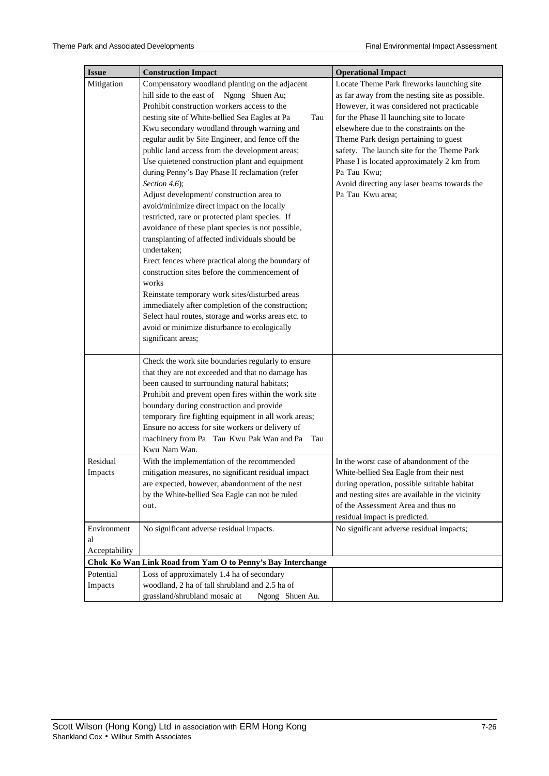| <b>Issue</b>                                                | <b>Construction Impact</b>                            | <b>Operational Impact</b>                       |
|-------------------------------------------------------------|-------------------------------------------------------|-------------------------------------------------|
| Mitigation                                                  | Compensatory woodland planting on the adjacent        | Locate Theme Park fireworks launching site      |
|                                                             | hill side to the east of Ngong Shuen Au;              | as far away from the nesting site as possible.  |
|                                                             | Prohibit construction workers access to the           | However, it was considered not practicable      |
|                                                             | nesting site of White-bellied Sea Eagles at Pa<br>Tau | for the Phase II launching site to locate       |
|                                                             | Kwu secondary woodland through warning and            | elsewhere due to the constraints on the         |
|                                                             | regular audit by Site Engineer, and fence off the     | Theme Park design pertaining to guest           |
|                                                             | public land access from the development areas;        | safety. The launch site for the Theme Park      |
|                                                             | Use quietened construction plant and equipment        | Phase I is located approximately 2 km from      |
|                                                             | during Penny's Bay Phase II reclamation (refer        | Pa Tau Kwu;                                     |
|                                                             | Section 4.6);                                         | Avoid directing any laser beams towards the     |
|                                                             | Adjust development/construction area to               | Pa Tau Kwu area;                                |
|                                                             | avoid/minimize direct impact on the locally           |                                                 |
|                                                             | restricted, rare or protected plant species. If       |                                                 |
|                                                             | avoidance of these plant species is not possible,     |                                                 |
|                                                             | transplanting of affected individuals should be       |                                                 |
|                                                             | undertaken;                                           |                                                 |
|                                                             | Erect fences where practical along the boundary of    |                                                 |
|                                                             | construction sites before the commencement of         |                                                 |
|                                                             | works                                                 |                                                 |
|                                                             | Reinstate temporary work sites/disturbed areas        |                                                 |
|                                                             | immediately after completion of the construction;     |                                                 |
|                                                             | Select haul routes, storage and works areas etc. to   |                                                 |
|                                                             | avoid or minimize disturbance to ecologically         |                                                 |
|                                                             | significant areas;                                    |                                                 |
|                                                             |                                                       |                                                 |
|                                                             | Check the work site boundaries regularly to ensure    |                                                 |
|                                                             | that they are not exceeded and that no damage has     |                                                 |
|                                                             | been caused to surrounding natural habitats;          |                                                 |
|                                                             | Prohibit and prevent open fires within the work site  |                                                 |
|                                                             | boundary during construction and provide              |                                                 |
|                                                             | temporary fire fighting equipment in all work areas;  |                                                 |
|                                                             | Ensure no access for site workers or delivery of      |                                                 |
|                                                             | machinery from Pa Tau Kwu Pak Wan and Pa<br>Tau       |                                                 |
|                                                             | Kwu Nam Wan.                                          |                                                 |
| Residual                                                    | With the implementation of the recommended            | In the worst case of abandonment of the         |
| Impacts                                                     | mitigation measures, no significant residual impact   | White-bellied Sea Eagle from their nest         |
|                                                             | are expected, however, abandonment of the nest        | during operation, possible suitable habitat     |
|                                                             | by the White-bellied Sea Eagle can not be ruled       | and nesting sites are available in the vicinity |
|                                                             | out.                                                  | of the Assessment Area and thus no              |
|                                                             |                                                       | residual impact is predicted.                   |
| Environment                                                 | No significant adverse residual impacts.              | No significant adverse residual impacts;        |
| al                                                          |                                                       |                                                 |
| Acceptability                                               |                                                       |                                                 |
| Chok Ko Wan Link Road from Yam O to Penny's Bay Interchange |                                                       |                                                 |
| Potential                                                   | Loss of approximately 1.4 ha of secondary             |                                                 |
| Impacts                                                     | woodland, 2 ha of tall shrubland and 2.5 ha of        |                                                 |
|                                                             | grassland/shrubland mosaic at<br>Ngong Shuen Au.      |                                                 |